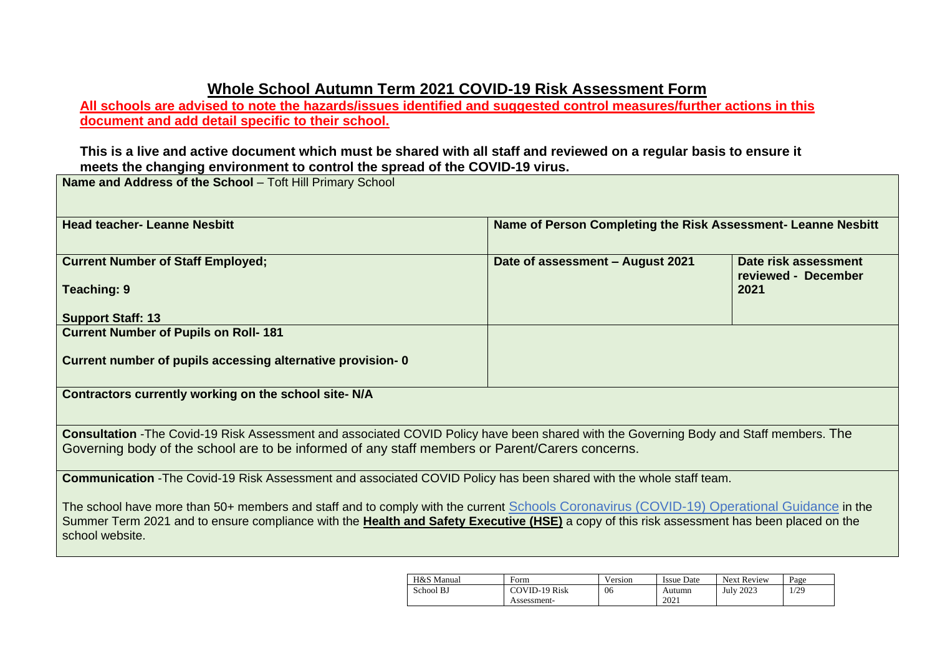## **Whole School Autumn Term 2021 COVID-19 Risk Assessment Form**

**All schools are advised to note the hazards/issues identified and suggested control measures/further actions in this document and add detail specific to their school.** 

## **This is a live and active document which must be shared with all staff and reviewed on a regular basis to ensure it meets the changing environment to control the spread of the COVID-19 virus.**

**Name and Address of the School** – Toft Hill Primary School

| <b>Head teacher- Leanne Nesbitt</b>                                                                                                           | Name of Person Completing the Risk Assessment- Leanne Nesbitt |                      |
|-----------------------------------------------------------------------------------------------------------------------------------------------|---------------------------------------------------------------|----------------------|
|                                                                                                                                               |                                                               |                      |
| <b>Current Number of Staff Employed;</b>                                                                                                      | Date of assessment - August 2021                              | Date risk assessment |
|                                                                                                                                               |                                                               | reviewed - December  |
| <b>Teaching: 9</b>                                                                                                                            |                                                               | 2021                 |
| <b>Support Staff: 13</b>                                                                                                                      |                                                               |                      |
| <b>Current Number of Pupils on Roll-181</b>                                                                                                   |                                                               |                      |
|                                                                                                                                               |                                                               |                      |
| Current number of pupils accessing alternative provision-0                                                                                    |                                                               |                      |
|                                                                                                                                               |                                                               |                      |
| Contractors currently working on the school site-N/A                                                                                          |                                                               |                      |
|                                                                                                                                               |                                                               |                      |
| <b>Consultation</b> -The Covid-19 Risk Assessment and associated COVID Policy have been shared with the Governing Body and Staff members. The |                                                               |                      |
| Governing body of the school are to be informed of any staff members or Parent/Carers concerns.                                               |                                                               |                      |
|                                                                                                                                               |                                                               |                      |
| Communication - The Covid-19 Risk Assessment and associated COVID Policy has been shared with the whole staff team.                           |                                                               |                      |
| The school have more than 50+ members and staff and to comply with the current Schools Coronavirus (COVID-19) Operational Guidance in the     |                                                               |                      |
| Summer Term 2021 and to ensure compliance with the Health and Safety Executive (HSE) a copy of this risk assessment has been placed on the    |                                                               |                      |
| school website.                                                                                                                               |                                                               |                      |
|                                                                                                                                               |                                                               |                      |

| H&S Manual | Form                 | Version | <b>Issue Date</b> | <b>Next Review</b> | Page |
|------------|----------------------|---------|-------------------|--------------------|------|
| School BJ  | <b>COVID-19 Risk</b> | 06      | Autumn            | July 2023          | 1/29 |
|            | Assessment-          |         | 2021              |                    |      |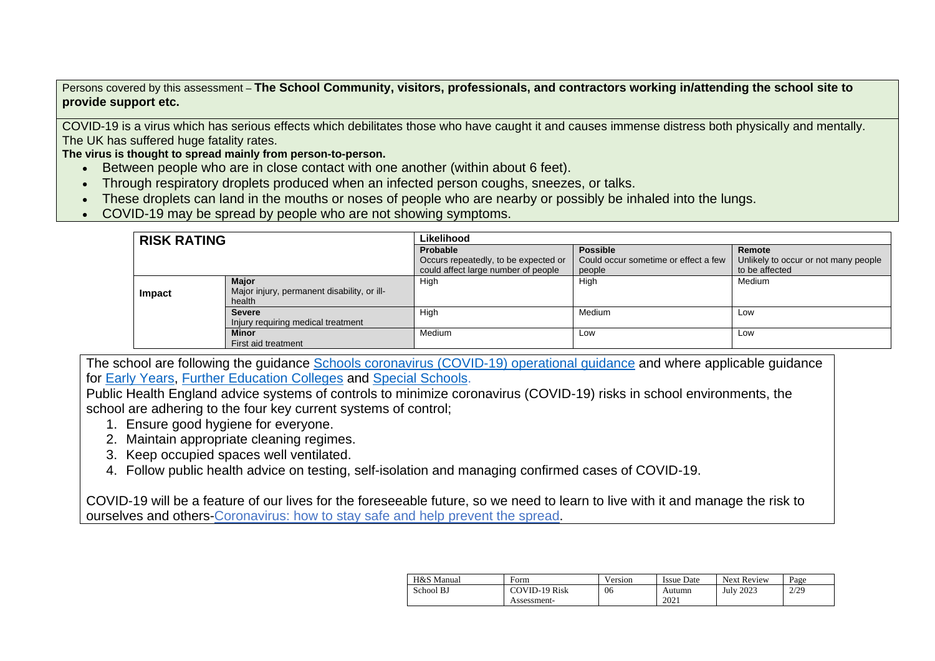Persons covered by this assessment – **The School Community, visitors, professionals, and contractors working in/attending the school site to provide support etc.**

COVID-19 is a virus which has serious effects which debilitates those who have caught it and causes immense distress both physically and mentally. The UK has suffered huge fatality rates.

The virus is thought to spread mainly from person-to-person.

- Between people who are in close contact with one another (within about 6 feet).
- Through respiratory droplets produced when an infected person coughs, sneezes, or talks.
- These droplets can land in the mouths or noses of people who are nearby or possibly be inhaled into the lungs.
- COVID-19 may be spread by people who are not showing symptoms.

| <b>RISK RATING</b> |                                             | Likelihood                           |                                      |                                      |  |  |
|--------------------|---------------------------------------------|--------------------------------------|--------------------------------------|--------------------------------------|--|--|
|                    |                                             | Probable                             | <b>Possible</b>                      | Remote                               |  |  |
|                    |                                             | Occurs repeatedly, to be expected or | Could occur sometime or effect a few | Unlikely to occur or not many people |  |  |
|                    |                                             | could affect large number of people  | people                               | to be affected                       |  |  |
|                    | <b>Major</b>                                | High                                 | High                                 | Medium                               |  |  |
| Impact             | Major injury, permanent disability, or ill- |                                      |                                      |                                      |  |  |
|                    | health                                      |                                      |                                      |                                      |  |  |
|                    | <b>Severe</b>                               | High                                 | Medium                               | Low                                  |  |  |
|                    | Injury requiring medical treatment          |                                      |                                      |                                      |  |  |
|                    | <b>Minor</b>                                | Medium                               | Low                                  | Low                                  |  |  |
|                    | First aid treatment                         |                                      |                                      |                                      |  |  |

The school are following the guidance [Schools coronavirus \(COVID-19\) operational guidance](https://www.gov.uk/government/publications/actions-for-schools-during-the-coronavirus-outbreak/schools-coronavirus-covid-19-operational-guidance) and where applicable guidance for [Early Years,](https://www.gov.uk/government/publications/coronavirus-covid-19-early-years-and-childcare-closures/actions-for-early-years-and-childcare-providers-during-the-covid-19-pandemic) [Further Education Colleges](https://www.gov.uk/government/publications/coronavirus-covid-19-maintaining-further-education-provision/further-education-covid-19-operational-guidance) and [Special Schools.](https://www.gov.uk/government/publications/guidance-for-full-opening-special-schools-and-other-specialist-settings/send-and-specialist-settings-additional-covid-19-operational-guidance-applies-after-step-4)

Public Health England advice systems of controls to minimize coronavirus (COVID-19) risks in school environments, the school are adhering to the four key current systems of control;

- 1. Ensure good hygiene for everyone.
- 2. Maintain appropriate cleaning regimes.
- 3. Keep occupied spaces well ventilated.
- 4. Follow public health advice on testing, self-isolation and managing confirmed cases of COVID-19.

[COVID-19 will be a feature of our lives for the foreseeable future, so we need to learn to live with it and manage the risk to](https://www.gov.uk/guidance/covid-19-coronavirus-restrictions-what-you-can-and-cannot-do?fbclid=IwAR05JnKHSGCw44PjqCdklSq0TdZNY55Qqf_5_MDleT_oAMdmVYhPVoGwdgU)  ourselves and others-Coronavirus: how [to stay safe and help prevent the spread.](https://www.gov.uk/guidance/covid-19-coronavirus-restrictions-what-you-can-and-cannot-do?fbclid=IwAR05JnKHSGCw44PjqCdklSq0TdZNY55Qqf_5_MDleT_oAMdmVYhPVoGwdgU)

| H&S Manual | Form                 | V ersion | <b>Issue Date</b> | <b>Next Review</b> | Page |
|------------|----------------------|----------|-------------------|--------------------|------|
| School BJ  | <b>COVID-19 Risk</b> | 06       | Autumn            | <b>July 2023</b>   | 2/29 |
|            | Assessment-          |          | 202 <sub>1</sub>  |                    |      |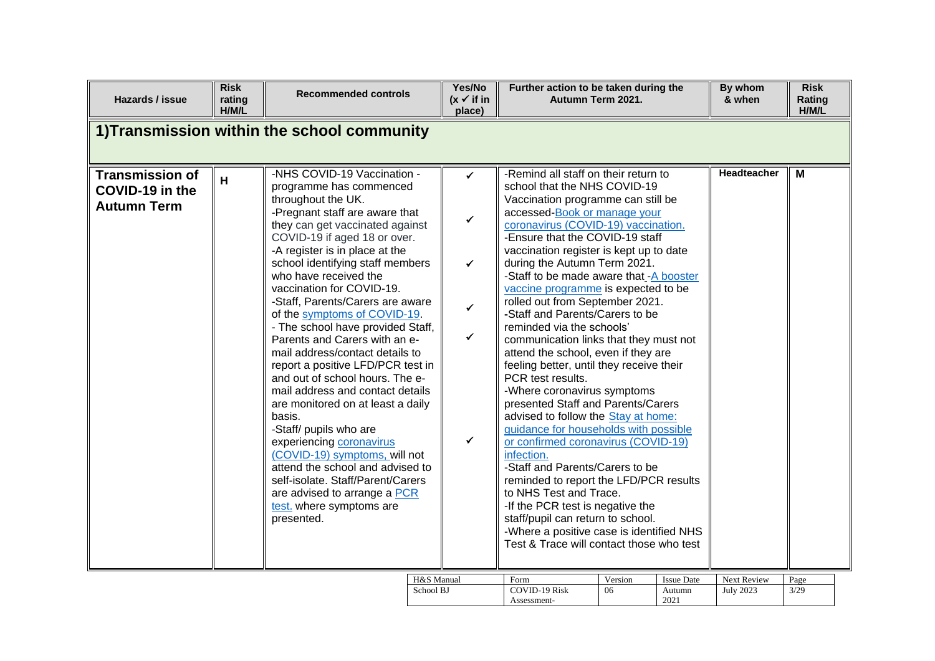| Hazards / issue                                                 | <b>Risk</b><br>rating<br>H/M/L | <b>Recommended controls</b>                                                                                                                                                                                                                                                                                                                                                                                                                                                                                                                                                                                                                                                                                                                                                                                                                                                                     | Yes/No<br>$(x \vee$ if in<br>place)                                                          | Further action to be taken during the<br>Autumn Term 2021.                                                                                                                                                                                                                                                                                                                                                                                                                                                                                                                                                                                                                                                                                                                                                                                                                                                                                                                                                                                                                                                               |               |                             | By whom<br>& when               | <b>Risk</b><br>Rating<br>H/M/L |
|-----------------------------------------------------------------|--------------------------------|-------------------------------------------------------------------------------------------------------------------------------------------------------------------------------------------------------------------------------------------------------------------------------------------------------------------------------------------------------------------------------------------------------------------------------------------------------------------------------------------------------------------------------------------------------------------------------------------------------------------------------------------------------------------------------------------------------------------------------------------------------------------------------------------------------------------------------------------------------------------------------------------------|----------------------------------------------------------------------------------------------|--------------------------------------------------------------------------------------------------------------------------------------------------------------------------------------------------------------------------------------------------------------------------------------------------------------------------------------------------------------------------------------------------------------------------------------------------------------------------------------------------------------------------------------------------------------------------------------------------------------------------------------------------------------------------------------------------------------------------------------------------------------------------------------------------------------------------------------------------------------------------------------------------------------------------------------------------------------------------------------------------------------------------------------------------------------------------------------------------------------------------|---------------|-----------------------------|---------------------------------|--------------------------------|
|                                                                 |                                | 1) Transmission within the school community                                                                                                                                                                                                                                                                                                                                                                                                                                                                                                                                                                                                                                                                                                                                                                                                                                                     |                                                                                              |                                                                                                                                                                                                                                                                                                                                                                                                                                                                                                                                                                                                                                                                                                                                                                                                                                                                                                                                                                                                                                                                                                                          |               |                             |                                 |                                |
| <b>Transmission of</b><br>COVID-19 in the<br><b>Autumn Term</b> | H                              | -NHS COVID-19 Vaccination -<br>programme has commenced<br>throughout the UK.<br>-Pregnant staff are aware that<br>they can get vaccinated against<br>COVID-19 if aged 18 or over.<br>-A register is in place at the<br>school identifying staff members<br>who have received the<br>vaccination for COVID-19.<br>-Staff, Parents/Carers are aware<br>of the symptoms of COVID-19.<br>- The school have provided Staff,<br>Parents and Carers with an e-<br>mail address/contact details to<br>report a positive LFD/PCR test in<br>and out of school hours. The e-<br>mail address and contact details<br>are monitored on at least a daily<br>basis.<br>-Staff/ pupils who are<br>experiencing coronavirus<br>(COVID-19) symptoms, will not<br>attend the school and advised to<br>self-isolate. Staff/Parent/Carers<br>are advised to arrange a PCR<br>test. where symptoms are<br>presented. | $\checkmark$<br>$\checkmark$<br>$\checkmark$<br>$\checkmark$<br>$\checkmark$<br>$\checkmark$ | -Remind all staff on their return to<br>school that the NHS COVID-19<br>Vaccination programme can still be<br>accessed-Book or manage your<br>coronavirus (COVID-19) vaccination.<br>-Ensure that the COVID-19 staff<br>vaccination register is kept up to date<br>during the Autumn Term 2021.<br>-Staff to be made aware that -A booster<br>vaccine programme is expected to be<br>rolled out from September 2021.<br>-Staff and Parents/Carers to be<br>reminded via the schools'<br>communication links that they must not<br>attend the school, even if they are<br>feeling better, until they receive their<br>PCR test results.<br>-Where coronavirus symptoms<br>presented Staff and Parents/Carers<br>advised to follow the Stay at home:<br>guidance for households with possible<br>or confirmed coronavirus (COVID-19)<br>infection.<br>-Staff and Parents/Carers to be<br>reminded to report the LFD/PCR results<br>to NHS Test and Trace.<br>-If the PCR test is negative the<br>staff/pupil can return to school.<br>-Where a positive case is identified NHS<br>Test & Trace will contact those who test |               |                             | Headteacher                     | M                              |
|                                                                 |                                | H&S Manual<br>School BJ                                                                                                                                                                                                                                                                                                                                                                                                                                                                                                                                                                                                                                                                                                                                                                                                                                                                         |                                                                                              | Form<br><b>COVID-19 Risk</b>                                                                                                                                                                                                                                                                                                                                                                                                                                                                                                                                                                                                                                                                                                                                                                                                                                                                                                                                                                                                                                                                                             | Version<br>06 | <b>Issue Date</b><br>Autumn | Next Review<br><b>July 2023</b> | Page<br>3/29                   |

Assessment-

2021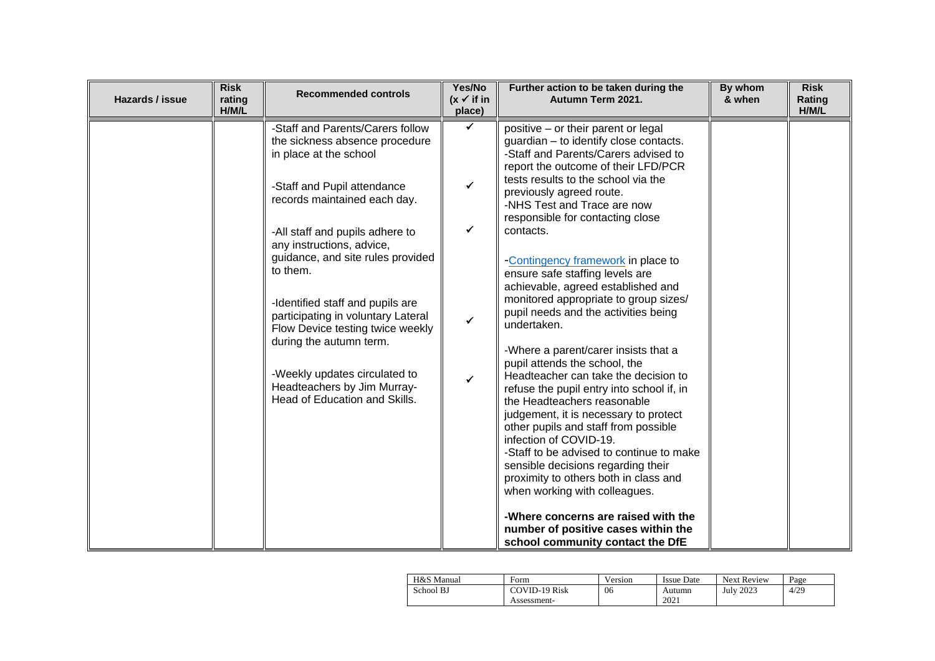| Hazards / issue | <b>Risk</b><br>rating<br>H/M/L | <b>Recommended controls</b>                                                                                                                                                                                                                                                                                                                                                                                                                                                                                            | Yes/No<br>$(x \checkmark)$ if in<br>place) | Further action to be taken during the<br>Autumn Term 2021.                                                                                                                                                                                                                                                                                                                                                                                                                                                                                                                                                                                                                                                                                                                                                                                                                                                                                                                                                                                                                       | By whom<br>& when | <b>Risk</b><br>Rating<br>H/M/L |
|-----------------|--------------------------------|------------------------------------------------------------------------------------------------------------------------------------------------------------------------------------------------------------------------------------------------------------------------------------------------------------------------------------------------------------------------------------------------------------------------------------------------------------------------------------------------------------------------|--------------------------------------------|----------------------------------------------------------------------------------------------------------------------------------------------------------------------------------------------------------------------------------------------------------------------------------------------------------------------------------------------------------------------------------------------------------------------------------------------------------------------------------------------------------------------------------------------------------------------------------------------------------------------------------------------------------------------------------------------------------------------------------------------------------------------------------------------------------------------------------------------------------------------------------------------------------------------------------------------------------------------------------------------------------------------------------------------------------------------------------|-------------------|--------------------------------|
|                 |                                | -Staff and Parents/Carers follow<br>the sickness absence procedure<br>in place at the school<br>-Staff and Pupil attendance<br>records maintained each day.<br>-All staff and pupils adhere to<br>any instructions, advice,<br>guidance, and site rules provided<br>to them.<br>-Identified staff and pupils are<br>participating in voluntary Lateral<br>Flow Device testing twice weekly<br>during the autumn term.<br>-Weekly updates circulated to<br>Headteachers by Jim Murray-<br>Head of Education and Skills. | ✓<br>✔<br>✓<br>$\checkmark$<br>✓           | positive - or their parent or legal<br>guardian - to identify close contacts.<br>-Staff and Parents/Carers advised to<br>report the outcome of their LFD/PCR<br>tests results to the school via the<br>previously agreed route.<br>-NHS Test and Trace are now<br>responsible for contacting close<br>contacts.<br>-Contingency framework in place to<br>ensure safe staffing levels are<br>achievable, agreed established and<br>monitored appropriate to group sizes/<br>pupil needs and the activities being<br>undertaken.<br>-Where a parent/carer insists that a<br>pupil attends the school, the<br>Headteacher can take the decision to<br>refuse the pupil entry into school if, in<br>the Headteachers reasonable<br>judgement, it is necessary to protect<br>other pupils and staff from possible<br>infection of COVID-19.<br>-Staff to be advised to continue to make<br>sensible decisions regarding their<br>proximity to others both in class and<br>when working with colleagues.<br>-Where concerns are raised with the<br>number of positive cases within the |                   |                                |
|                 |                                |                                                                                                                                                                                                                                                                                                                                                                                                                                                                                                                        |                                            | school community contact the DfE                                                                                                                                                                                                                                                                                                                                                                                                                                                                                                                                                                                                                                                                                                                                                                                                                                                                                                                                                                                                                                                 |                   |                                |

| H&S Manual | Form                 | Version | Issue Date | <b>Next Review</b> | Page |
|------------|----------------------|---------|------------|--------------------|------|
| School BJ  | <b>COVID-19 Risk</b> | 06      | Autumn     | <b>July 2023</b>   | 4/29 |
|            | Assessment-          |         | 2021       |                    |      |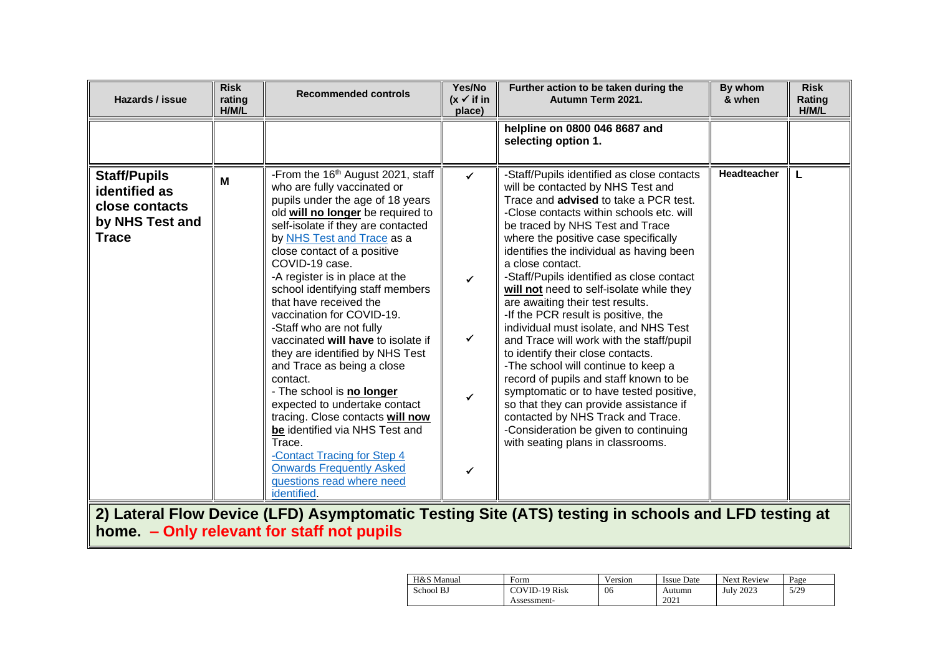| Hazards / issue                                                                           | <b>Risk</b><br>rating<br>H/M/L | <b>Recommended controls</b>                                                                                                                                                                                                                                                                                                                                                                                                                                                                                                                                                                                                                                                                                                                                                                                        | Yes/No<br>$(x \vee$ if in<br>place)                                          | Further action to be taken during the<br>Autumn Term 2021.                                                                                                                                                                                                                                                                                                                                                                                                                                                                                                                                                                                                                                                                                                                                                                                                                                             | By whom<br>& when | <b>Risk</b><br>Rating<br>H/M/L |
|-------------------------------------------------------------------------------------------|--------------------------------|--------------------------------------------------------------------------------------------------------------------------------------------------------------------------------------------------------------------------------------------------------------------------------------------------------------------------------------------------------------------------------------------------------------------------------------------------------------------------------------------------------------------------------------------------------------------------------------------------------------------------------------------------------------------------------------------------------------------------------------------------------------------------------------------------------------------|------------------------------------------------------------------------------|--------------------------------------------------------------------------------------------------------------------------------------------------------------------------------------------------------------------------------------------------------------------------------------------------------------------------------------------------------------------------------------------------------------------------------------------------------------------------------------------------------------------------------------------------------------------------------------------------------------------------------------------------------------------------------------------------------------------------------------------------------------------------------------------------------------------------------------------------------------------------------------------------------|-------------------|--------------------------------|
|                                                                                           |                                |                                                                                                                                                                                                                                                                                                                                                                                                                                                                                                                                                                                                                                                                                                                                                                                                                    |                                                                              | helpline on 0800 046 8687 and<br>selecting option 1.                                                                                                                                                                                                                                                                                                                                                                                                                                                                                                                                                                                                                                                                                                                                                                                                                                                   |                   |                                |
| <b>Staff/Pupils</b><br>identified as<br>close contacts<br>by NHS Test and<br><b>Trace</b> | M                              | -From the 16 <sup>th</sup> August 2021, staff<br>who are fully vaccinated or<br>pupils under the age of 18 years<br>old will no longer be required to<br>self-isolate if they are contacted<br>by NHS Test and Trace as a<br>close contact of a positive<br>COVID-19 case.<br>-A register is in place at the<br>school identifying staff members<br>that have received the<br>vaccination for COVID-19.<br>-Staff who are not fully<br>vaccinated will have to isolate if<br>they are identified by NHS Test<br>and Trace as being a close<br>contact.<br>- The school is no longer<br>expected to undertake contact<br>tracing. Close contacts will now<br>be identified via NHS Test and<br>Trace.<br>-Contact Tracing for Step 4<br><b>Onwards Frequently Asked</b><br>questions read where need<br>identified. | $\checkmark$<br>$\checkmark$<br>$\checkmark$<br>$\checkmark$<br>$\checkmark$ | -Staff/Pupils identified as close contacts<br>will be contacted by NHS Test and<br>Trace and advised to take a PCR test.<br>-Close contacts within schools etc. will<br>be traced by NHS Test and Trace<br>where the positive case specifically<br>identifies the individual as having been<br>a close contact.<br>-Staff/Pupils identified as close contact<br>will not need to self-isolate while they<br>are awaiting their test results.<br>-If the PCR result is positive, the<br>individual must isolate, and NHS Test<br>and Trace will work with the staff/pupil<br>to identify their close contacts.<br>-The school will continue to keep a<br>record of pupils and staff known to be<br>symptomatic or to have tested positive,<br>so that they can provide assistance if<br>contacted by NHS Track and Trace.<br>-Consideration be given to continuing<br>with seating plans in classrooms. | Headteacher       | L                              |
|                                                                                           |                                | home - Only relevant for staff not pupils                                                                                                                                                                                                                                                                                                                                                                                                                                                                                                                                                                                                                                                                                                                                                                          |                                                                              | 2) Lateral Flow Device (LFD) Asymptomatic Testing Site (ATS) testing in schools and LFD testing at                                                                                                                                                                                                                                                                                                                                                                                                                                                                                                                                                                                                                                                                                                                                                                                                     |                   |                                |

| H&S Manual | Form                 | Version | <b>Issue Date</b> | <b>Next Review</b> | Page |
|------------|----------------------|---------|-------------------|--------------------|------|
| School BJ  | <b>COVID-19 Risk</b> | 06      | Autumn            | July 2023          | 5/29 |
|            | Assessment-          |         | 2021              |                    |      |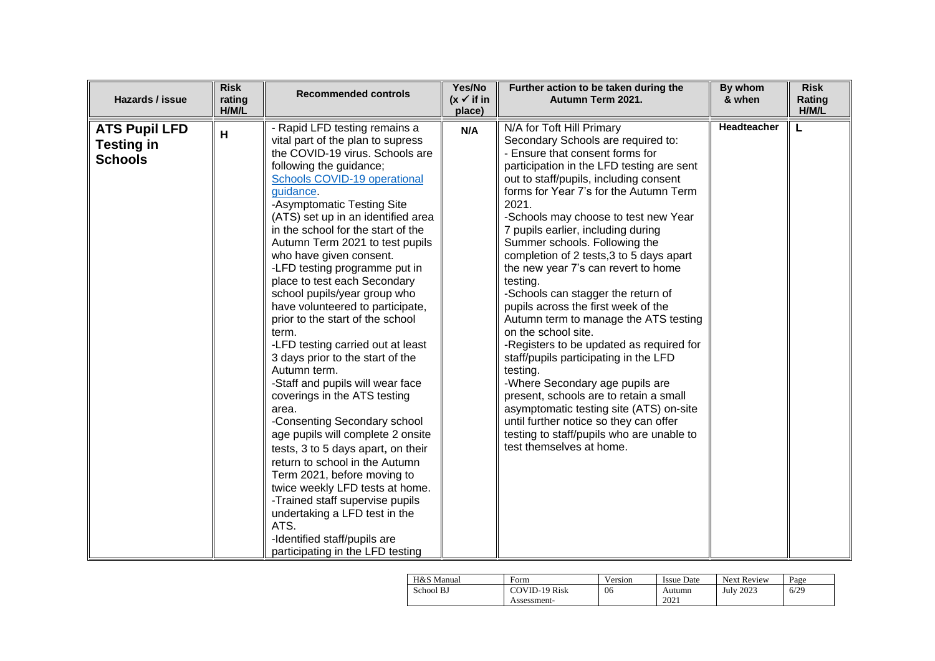| Hazards / issue                                             | <b>Risk</b><br>rating<br>H/M/L | <b>Recommended controls</b>                                                                                                                                                                                                                                                                                                                                                                                                                                                                                                                                                                                                                                                                                                                                                                                                                                                                                                                                                                                                                                                        | Yes/No<br>$(x \vee$ if in<br>place) | Further action to be taken during the<br>Autumn Term 2021.                                                                                                                                                                                                                                                                                                                                                                                                                                                                                                                                                                                                                                                                                                                                                                                                                                                                                          | By whom<br>& when | <b>Risk</b><br>Rating<br>H/M/L |
|-------------------------------------------------------------|--------------------------------|------------------------------------------------------------------------------------------------------------------------------------------------------------------------------------------------------------------------------------------------------------------------------------------------------------------------------------------------------------------------------------------------------------------------------------------------------------------------------------------------------------------------------------------------------------------------------------------------------------------------------------------------------------------------------------------------------------------------------------------------------------------------------------------------------------------------------------------------------------------------------------------------------------------------------------------------------------------------------------------------------------------------------------------------------------------------------------|-------------------------------------|-----------------------------------------------------------------------------------------------------------------------------------------------------------------------------------------------------------------------------------------------------------------------------------------------------------------------------------------------------------------------------------------------------------------------------------------------------------------------------------------------------------------------------------------------------------------------------------------------------------------------------------------------------------------------------------------------------------------------------------------------------------------------------------------------------------------------------------------------------------------------------------------------------------------------------------------------------|-------------------|--------------------------------|
| <b>ATS Pupil LFD</b><br><b>Testing in</b><br><b>Schools</b> | н                              | - Rapid LFD testing remains a<br>vital part of the plan to supress<br>the COVID-19 virus. Schools are<br>following the guidance;<br>Schools COVID-19 operational<br><i>guidance</i><br>-Asymptomatic Testing Site<br>(ATS) set up in an identified area<br>in the school for the start of the<br>Autumn Term 2021 to test pupils<br>who have given consent.<br>-LFD testing programme put in<br>place to test each Secondary<br>school pupils/year group who<br>have volunteered to participate,<br>prior to the start of the school<br>term.<br>-LFD testing carried out at least<br>3 days prior to the start of the<br>Autumn term.<br>-Staff and pupils will wear face<br>coverings in the ATS testing<br>area.<br>-Consenting Secondary school<br>age pupils will complete 2 onsite<br>tests, 3 to 5 days apart, on their<br>return to school in the Autumn<br>Term 2021, before moving to<br>twice weekly LFD tests at home.<br>-Trained staff supervise pupils<br>undertaking a LFD test in the<br>ATS.<br>-Identified staff/pupils are<br>participating in the LFD testing | N/A                                 | N/A for Toft Hill Primary<br>Secondary Schools are required to:<br>- Ensure that consent forms for<br>participation in the LFD testing are sent<br>out to staff/pupils, including consent<br>forms for Year 7's for the Autumn Term<br>2021.<br>-Schools may choose to test new Year<br>7 pupils earlier, including during<br>Summer schools. Following the<br>completion of 2 tests, 3 to 5 days apart<br>the new year 7's can revert to home<br>testing.<br>-Schools can stagger the return of<br>pupils across the first week of the<br>Autumn term to manage the ATS testing<br>on the school site.<br>-Registers to be updated as required for<br>staff/pupils participating in the LFD<br>testing.<br>-Where Secondary age pupils are<br>present, schools are to retain a small<br>asymptomatic testing site (ATS) on-site<br>until further notice so they can offer<br>testing to staff/pupils who are unable to<br>test themselves at home. | Headteacher       | L                              |

| H&S Manual | Form          | Version | <b>Issue Date</b> | <b>Next Review</b> | Page |
|------------|---------------|---------|-------------------|--------------------|------|
| School BJ  | COVID-19 Risk | 06      | Autumn            | <b>July 2023</b>   | 6/29 |
|            | Assessment-   |         | 2021              |                    |      |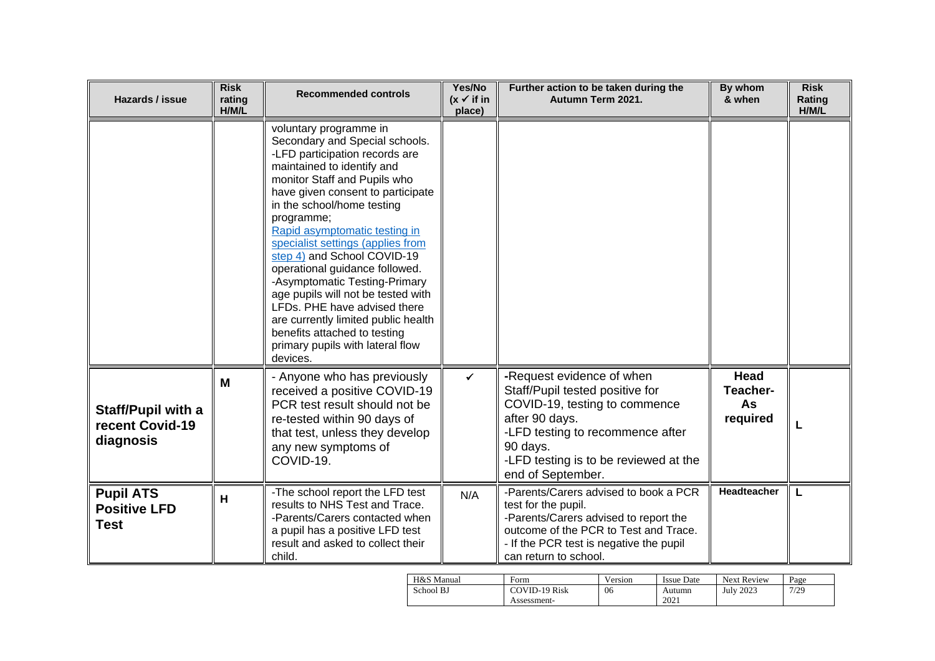| Hazards / issue                                        | <b>Risk</b><br>rating<br>H/M/L | <b>Recommended controls</b>                                                                                                                                                                                                                                                                                                                                                                                                                                                                                                                                                                                    | Yes/No<br>$(x \vee$ if in<br>place) | Further action to be taken during the<br>Autumn Term 2021.                                                                                                                                                                    | By whom<br>& when                  | <b>Risk</b><br>Rating<br>H/M/L |
|--------------------------------------------------------|--------------------------------|----------------------------------------------------------------------------------------------------------------------------------------------------------------------------------------------------------------------------------------------------------------------------------------------------------------------------------------------------------------------------------------------------------------------------------------------------------------------------------------------------------------------------------------------------------------------------------------------------------------|-------------------------------------|-------------------------------------------------------------------------------------------------------------------------------------------------------------------------------------------------------------------------------|------------------------------------|--------------------------------|
|                                                        |                                | voluntary programme in<br>Secondary and Special schools.<br>-LFD participation records are<br>maintained to identify and<br>monitor Staff and Pupils who<br>have given consent to participate<br>in the school/home testing<br>programme;<br>Rapid asymptomatic testing in<br>specialist settings (applies from<br>step 4) and School COVID-19<br>operational guidance followed.<br>-Asymptomatic Testing-Primary<br>age pupils will not be tested with<br>LFDs. PHE have advised there<br>are currently limited public health<br>benefits attached to testing<br>primary pupils with lateral flow<br>devices. |                                     |                                                                                                                                                                                                                               |                                    |                                |
| Staff/Pupil with a<br>recent Covid-19<br>diagnosis     | M                              | - Anyone who has previously<br>received a positive COVID-19<br>PCR test result should not be<br>re-tested within 90 days of<br>that test, unless they develop<br>any new symptoms of<br>COVID-19.                                                                                                                                                                                                                                                                                                                                                                                                              | $\checkmark$                        | -Request evidence of when<br>Staff/Pupil tested positive for<br>COVID-19, testing to commence<br>after 90 days.<br>-LFD testing to recommence after<br>90 days.<br>-LFD testing is to be reviewed at the<br>end of September. | Head<br>Teacher-<br>As<br>required | L                              |
| <b>Pupil ATS</b><br><b>Positive LFD</b><br><b>Test</b> | H                              | -The school report the LFD test<br>results to NHS Test and Trace.<br>-Parents/Carers contacted when<br>a pupil has a positive LFD test<br>result and asked to collect their<br>child.                                                                                                                                                                                                                                                                                                                                                                                                                          | N/A                                 | -Parents/Carers advised to book a PCR<br>test for the pupil.<br>-Parents/Carers advised to report the<br>outcome of the PCR to Test and Trace.<br>- If the PCR test is negative the pupil<br>can return to school.            | Headteacher                        | L                              |

| H&S Manual | Form                 | Version | Issue Date | <b>Next Review</b> | Page |
|------------|----------------------|---------|------------|--------------------|------|
| School BJ  | <b>COVID-19 Risk</b> | 06      | Autumn     | <b>July 2023</b>   | 7/29 |
|            | Assessment-          |         | 2021       |                    |      |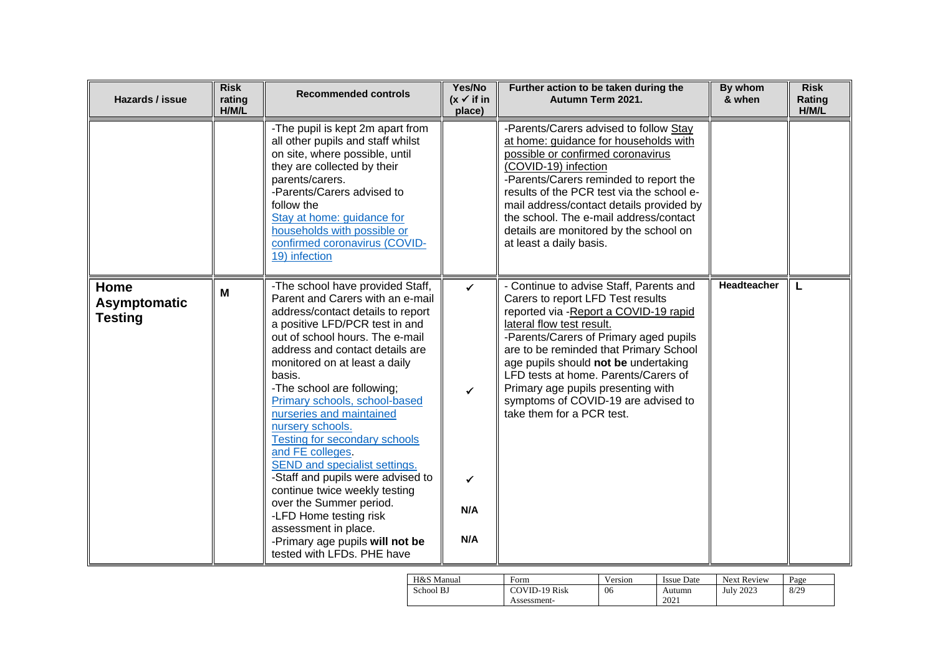| Hazards / issue                               | <b>Risk</b><br>rating<br>H/M/L | <b>Recommended controls</b>                                                                                                                                                                                                                                                                                                                                                                                                                                                                                                                                                                                                                                                                         | Yes/No<br>$(x \vee$ if in<br>place)                        | Further action to be taken during the<br>Autumn Term 2021.                                                                                                                                                                                                                                                                                                                                                                       | By whom<br>& when | <b>Risk</b><br>Rating<br>H/M/L |
|-----------------------------------------------|--------------------------------|-----------------------------------------------------------------------------------------------------------------------------------------------------------------------------------------------------------------------------------------------------------------------------------------------------------------------------------------------------------------------------------------------------------------------------------------------------------------------------------------------------------------------------------------------------------------------------------------------------------------------------------------------------------------------------------------------------|------------------------------------------------------------|----------------------------------------------------------------------------------------------------------------------------------------------------------------------------------------------------------------------------------------------------------------------------------------------------------------------------------------------------------------------------------------------------------------------------------|-------------------|--------------------------------|
|                                               |                                | -The pupil is kept 2m apart from<br>all other pupils and staff whilst<br>on site, where possible, until<br>they are collected by their<br>parents/carers.<br>-Parents/Carers advised to<br>follow the<br>Stay at home: guidance for<br>households with possible or<br>confirmed coronavirus (COVID-<br>19) infection                                                                                                                                                                                                                                                                                                                                                                                |                                                            | -Parents/Carers advised to follow Stay<br>at home: guidance for households with<br>possible or confirmed coronavirus<br>(COVID-19) infection<br>-Parents/Carers reminded to report the<br>results of the PCR test via the school e-<br>mail address/contact details provided by<br>the school. The e-mail address/contact<br>details are monitored by the school on<br>at least a daily basis.                                   |                   |                                |
| Home<br><b>Asymptomatic</b><br><b>Testing</b> | M                              | -The school have provided Staff,<br>Parent and Carers with an e-mail<br>address/contact details to report<br>a positive LFD/PCR test in and<br>out of school hours. The e-mail<br>address and contact details are<br>monitored on at least a daily<br>basis.<br>-The school are following;<br>Primary schools, school-based<br>nurseries and maintained<br>nursery schools.<br><b>Testing for secondary schools</b><br>and FE colleges.<br><b>SEND and specialist settings.</b><br>-Staff and pupils were advised to<br>continue twice weekly testing<br>over the Summer period.<br>-LFD Home testing risk<br>assessment in place.<br>-Primary age pupils will not be<br>tested with LFDs. PHE have | $\checkmark$<br>$\checkmark$<br>$\checkmark$<br>N/A<br>N/A | - Continue to advise Staff, Parents and<br>Carers to report LFD Test results<br>reported via -Report a COVID-19 rapid<br>lateral flow test result.<br>-Parents/Carers of Primary aged pupils<br>are to be reminded that Primary School<br>age pupils should not be undertaking<br>LFD tests at home. Parents/Carers of<br>Primary age pupils presenting with<br>symptoms of COVID-19 are advised to<br>take them for a PCR test. | Headteacher       |                                |

| H&S Manual | Form          | Version | <b>Issue Date</b> | <b>Next Review</b> | Page |
|------------|---------------|---------|-------------------|--------------------|------|
| School BJ  | COVID-19 Risk | 06      | Autumn            | <b>July 2023</b>   | 8/29 |
|            | Assessment-   |         | 2021              |                    |      |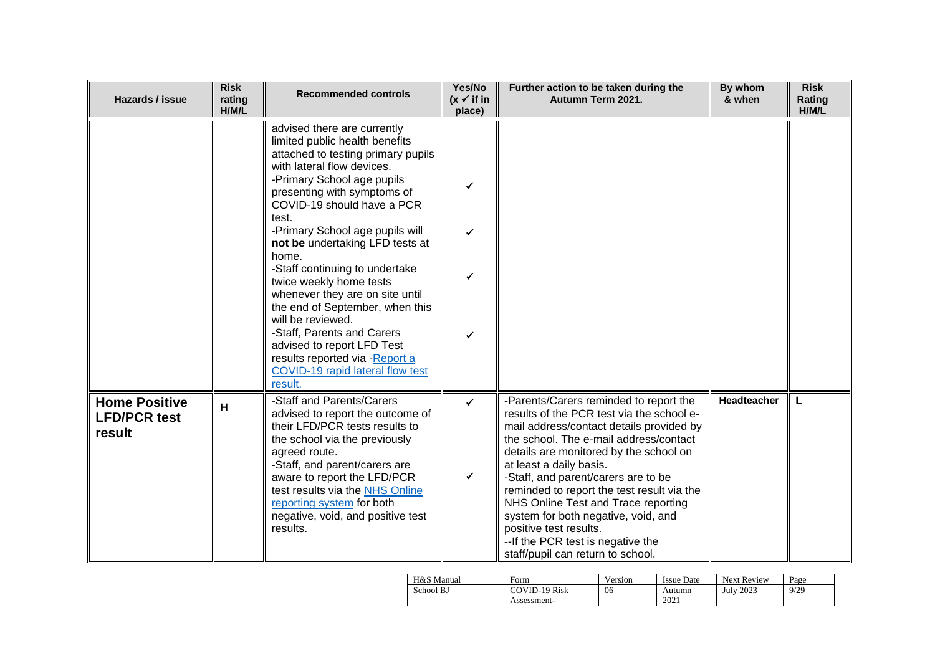| Hazards / issue                                       | <b>Risk</b><br>rating<br>H/M/L | <b>Recommended controls</b>                                                                                                                                                                                                                                                                                                                                                                                                                                                                                                                                                                                               | Yes/No<br>$(x \checkmark)$ if in<br>place) | Further action to be taken during the<br>Autumn Term 2021.                                                                                                                                                                                                                                                                                                                                                                                                                                                             | By whom<br>& when | <b>Risk</b><br>Rating<br>H/M/L |
|-------------------------------------------------------|--------------------------------|---------------------------------------------------------------------------------------------------------------------------------------------------------------------------------------------------------------------------------------------------------------------------------------------------------------------------------------------------------------------------------------------------------------------------------------------------------------------------------------------------------------------------------------------------------------------------------------------------------------------------|--------------------------------------------|------------------------------------------------------------------------------------------------------------------------------------------------------------------------------------------------------------------------------------------------------------------------------------------------------------------------------------------------------------------------------------------------------------------------------------------------------------------------------------------------------------------------|-------------------|--------------------------------|
|                                                       |                                | advised there are currently<br>limited public health benefits<br>attached to testing primary pupils<br>with lateral flow devices.<br>-Primary School age pupils<br>presenting with symptoms of<br>COVID-19 should have a PCR<br>test.<br>-Primary School age pupils will<br>not be undertaking LFD tests at<br>home.<br>-Staff continuing to undertake<br>twice weekly home tests<br>whenever they are on site until<br>the end of September, when this<br>will be reviewed.<br>-Staff, Parents and Carers<br>advised to report LFD Test<br>results reported via -Report a<br>COVID-19 rapid lateral flow test<br>result. | ✓<br>✓<br>✓                                |                                                                                                                                                                                                                                                                                                                                                                                                                                                                                                                        |                   |                                |
| <b>Home Positive</b><br><b>LFD/PCR test</b><br>result | H                              | -Staff and Parents/Carers<br>advised to report the outcome of<br>their LFD/PCR tests results to<br>the school via the previously<br>agreed route.<br>-Staff, and parent/carers are<br>aware to report the LFD/PCR<br>test results via the NHS Online<br>reporting system for both<br>negative, void, and positive test<br>results.                                                                                                                                                                                                                                                                                        | $\checkmark$<br>$\checkmark$               | -Parents/Carers reminded to report the<br>results of the PCR test via the school e-<br>mail address/contact details provided by<br>the school. The e-mail address/contact<br>details are monitored by the school on<br>at least a daily basis.<br>-Staff, and parent/carers are to be<br>reminded to report the test result via the<br>NHS Online Test and Trace reporting<br>system for both negative, void, and<br>positive test results.<br>-- If the PCR test is negative the<br>staff/pupil can return to school. | Headteacher       | L                              |

| H&S Manual | Form                 | Version | Issue Date | <b>Next Review</b> | Page |
|------------|----------------------|---------|------------|--------------------|------|
| School BJ  | <b>COVID-19 Risk</b> | 06      | Autumn     | <b>July 2023</b>   | 9/29 |
|            | Assessment-          |         | 2021       |                    |      |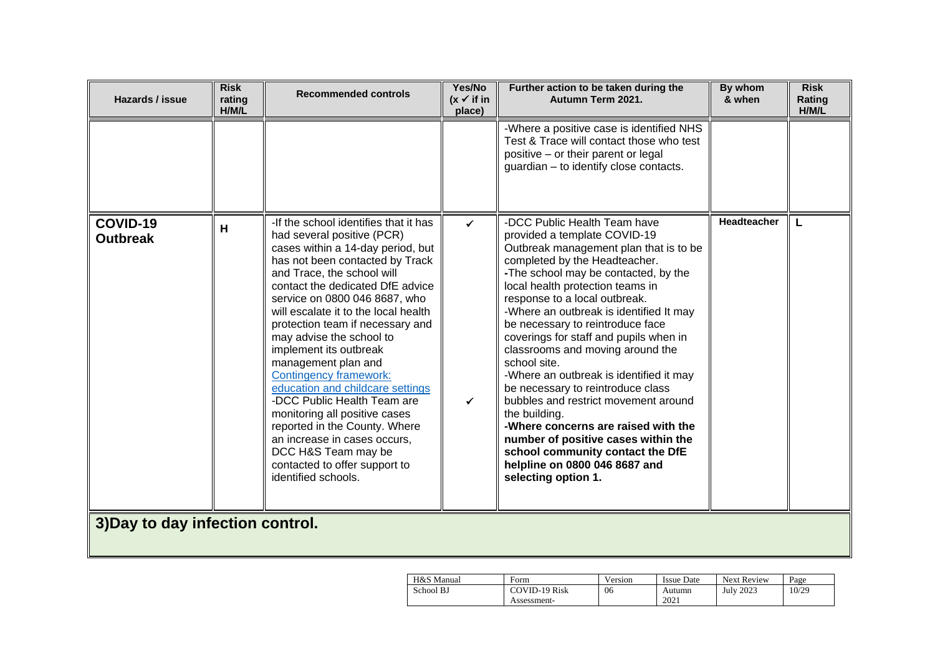| Hazards / issue                  | <b>Risk</b><br>rating<br>H/M/L | <b>Recommended controls</b>                                                                                                                                                                                                                                                                                                                                                                                                                                                                                                                                                                                                                                                                  | Yes/No<br>$(x \vee$ if in<br>place) | Further action to be taken during the<br>Autumn Term 2021.                                                                                                                                                                                                                                                                                                                                                                                                                                                                                                                                                                                                                                                                                           | By whom<br>& when  | <b>Risk</b><br>Rating<br>H/M/L |
|----------------------------------|--------------------------------|----------------------------------------------------------------------------------------------------------------------------------------------------------------------------------------------------------------------------------------------------------------------------------------------------------------------------------------------------------------------------------------------------------------------------------------------------------------------------------------------------------------------------------------------------------------------------------------------------------------------------------------------------------------------------------------------|-------------------------------------|------------------------------------------------------------------------------------------------------------------------------------------------------------------------------------------------------------------------------------------------------------------------------------------------------------------------------------------------------------------------------------------------------------------------------------------------------------------------------------------------------------------------------------------------------------------------------------------------------------------------------------------------------------------------------------------------------------------------------------------------------|--------------------|--------------------------------|
|                                  |                                |                                                                                                                                                                                                                                                                                                                                                                                                                                                                                                                                                                                                                                                                                              |                                     | -Where a positive case is identified NHS<br>Test & Trace will contact those who test<br>positive - or their parent or legal<br>guardian - to identify close contacts.                                                                                                                                                                                                                                                                                                                                                                                                                                                                                                                                                                                |                    |                                |
| COVID-19<br><b>Outbreak</b>      | H                              | -If the school identifies that it has<br>had several positive (PCR)<br>cases within a 14-day period, but<br>has not been contacted by Track<br>and Trace, the school will<br>contact the dedicated DfE advice<br>service on 0800 046 8687, who<br>will escalate it to the local health<br>protection team if necessary and<br>may advise the school to<br>implement its outbreak<br>management plan and<br><b>Contingency framework:</b><br>education and childcare settings<br>-DCC Public Health Team are<br>monitoring all positive cases<br>reported in the County. Where<br>an increase in cases occurs,<br>DCC H&S Team may be<br>contacted to offer support to<br>identified schools. | ✓<br>$\checkmark$                   | -DCC Public Health Team have<br>provided a template COVID-19<br>Outbreak management plan that is to be<br>completed by the Headteacher.<br>-The school may be contacted, by the<br>local health protection teams in<br>response to a local outbreak.<br>-Where an outbreak is identified It may<br>be necessary to reintroduce face<br>coverings for staff and pupils when in<br>classrooms and moving around the<br>school site.<br>-Where an outbreak is identified it may<br>be necessary to reintroduce class<br>bubbles and restrict movement around<br>the building.<br>-Where concerns are raised with the<br>number of positive cases within the<br>school community contact the DfE<br>helpline on 0800 046 8687 and<br>selecting option 1. | <b>Headteacher</b> | L                              |
| 3) Day to day infection control. |                                |                                                                                                                                                                                                                                                                                                                                                                                                                                                                                                                                                                                                                                                                                              |                                     |                                                                                                                                                                                                                                                                                                                                                                                                                                                                                                                                                                                                                                                                                                                                                      |                    |                                |

| H&S Manual | $\pm$ orm     | Version | <b>Issue Date</b> | <b>Next Review</b> | Page  |
|------------|---------------|---------|-------------------|--------------------|-------|
| School BJ  | COVID-19 Risk | 06      | Autumn            | <b>July 2023</b>   | 10/29 |
|            | Assessment-   |         | 2021              |                    |       |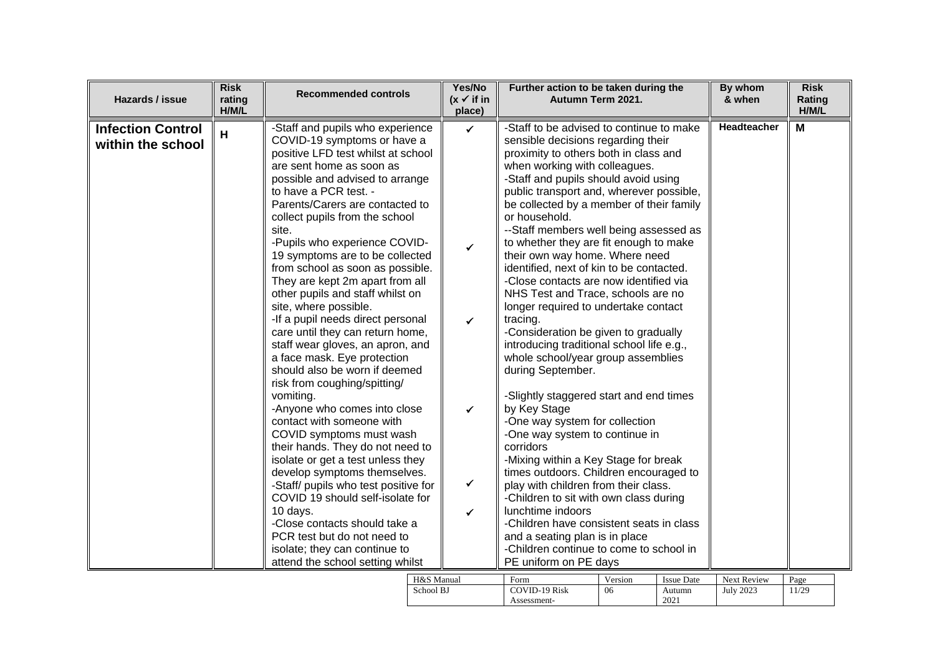| Hazards / issue                               | <b>Risk</b><br>rating<br>H/M/L | <b>Recommended controls</b>                                                                                                                                                                                                                                                                                                                                                                                                                                                                                                                                                                                                                                                                                                                                                                                                                                                                                                                                                                                                                                                                                                                  | Yes/No<br>$(x \checkmark)$ if in<br>place)                                                   | Further action to be taken during the<br>Autumn Term 2021.                                                                                                                                                                                                                                                                                                                                                                                                                                                                                                                                                                                                                                                                                                                                                                                                                                                                                                                                                                                                                                                                                                                                                                                             |               |                             | By whom<br>& when               | <b>Risk</b><br>Rating<br>H/M/L |
|-----------------------------------------------|--------------------------------|----------------------------------------------------------------------------------------------------------------------------------------------------------------------------------------------------------------------------------------------------------------------------------------------------------------------------------------------------------------------------------------------------------------------------------------------------------------------------------------------------------------------------------------------------------------------------------------------------------------------------------------------------------------------------------------------------------------------------------------------------------------------------------------------------------------------------------------------------------------------------------------------------------------------------------------------------------------------------------------------------------------------------------------------------------------------------------------------------------------------------------------------|----------------------------------------------------------------------------------------------|--------------------------------------------------------------------------------------------------------------------------------------------------------------------------------------------------------------------------------------------------------------------------------------------------------------------------------------------------------------------------------------------------------------------------------------------------------------------------------------------------------------------------------------------------------------------------------------------------------------------------------------------------------------------------------------------------------------------------------------------------------------------------------------------------------------------------------------------------------------------------------------------------------------------------------------------------------------------------------------------------------------------------------------------------------------------------------------------------------------------------------------------------------------------------------------------------------------------------------------------------------|---------------|-----------------------------|---------------------------------|--------------------------------|
| <b>Infection Control</b><br>within the school | H                              | -Staff and pupils who experience<br>COVID-19 symptoms or have a<br>positive LFD test whilst at school<br>are sent home as soon as<br>possible and advised to arrange<br>to have a PCR test. -<br>Parents/Carers are contacted to<br>collect pupils from the school<br>site.<br>-Pupils who experience COVID-<br>19 symptoms are to be collected<br>from school as soon as possible.<br>They are kept 2m apart from all<br>other pupils and staff whilst on<br>site, where possible.<br>-If a pupil needs direct personal<br>care until they can return home,<br>staff wear gloves, an apron, and<br>a face mask. Eye protection<br>should also be worn if deemed<br>risk from coughing/spitting/<br>vomiting.<br>-Anyone who comes into close<br>contact with someone with<br>COVID symptoms must wash<br>their hands. They do not need to<br>isolate or get a test unless they<br>develop symptoms themselves.<br>-Staff/ pupils who test positive for<br>COVID 19 should self-isolate for<br>10 days.<br>-Close contacts should take a<br>PCR test but do not need to<br>isolate; they can continue to<br>attend the school setting whilst | $\checkmark$<br>$\checkmark$<br>$\checkmark$<br>$\checkmark$<br>$\checkmark$<br>$\checkmark$ | -Staff to be advised to continue to make<br>sensible decisions regarding their<br>proximity to others both in class and<br>when working with colleagues.<br>-Staff and pupils should avoid using<br>public transport and, wherever possible,<br>be collected by a member of their family<br>or household.<br>--Staff members well being assessed as<br>to whether they are fit enough to make<br>their own way home. Where need<br>identified, next of kin to be contacted.<br>-Close contacts are now identified via<br>NHS Test and Trace, schools are no<br>longer required to undertake contact<br>tracing.<br>-Consideration be given to gradually<br>introducing traditional school life e.g.,<br>whole school/year group assemblies<br>during September.<br>-Slightly staggered start and end times<br>by Key Stage<br>-One way system for collection<br>-One way system to continue in<br>corridors<br>-Mixing within a Key Stage for break<br>times outdoors. Children encouraged to<br>play with children from their class.<br>-Children to sit with own class during<br>lunchtime indoors<br>-Children have consistent seats in class<br>and a seating plan is in place<br>-Children continue to come to school in<br>PE uniform on PE days |               |                             | Headteacher                     | M                              |
|                                               |                                | H&S Manual<br>School BJ                                                                                                                                                                                                                                                                                                                                                                                                                                                                                                                                                                                                                                                                                                                                                                                                                                                                                                                                                                                                                                                                                                                      |                                                                                              | Form<br><b>COVID-19 Risk</b>                                                                                                                                                                                                                                                                                                                                                                                                                                                                                                                                                                                                                                                                                                                                                                                                                                                                                                                                                                                                                                                                                                                                                                                                                           | Version<br>06 | <b>Issue Date</b><br>Autumn | Next Review<br><b>July 2023</b> | Page<br>11/29                  |

Assessment-

2021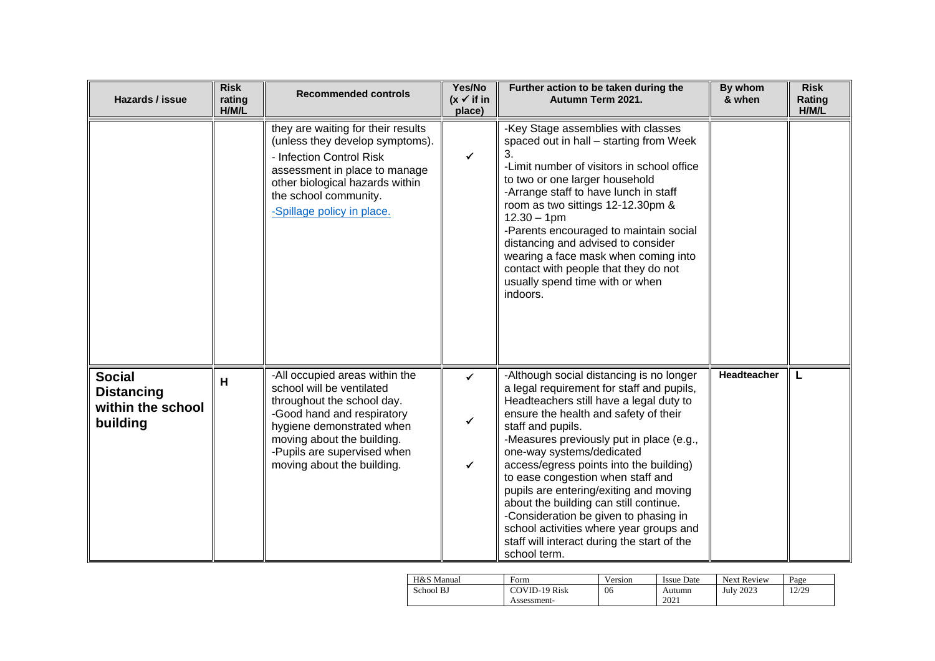| Hazards / issue                                                     | <b>Risk</b><br>rating<br>H/M/L | <b>Recommended controls</b>                                                                                                                                                                                                                     | Yes/No<br>$(x \vee$ if in<br>place)          | Further action to be taken during the<br>Autumn Term 2021.                                                                                                                                                                                                                                                                                                                                                                                                                                                                                                                                     | By whom<br>& when | <b>Risk</b><br>Rating<br>H/M/L |
|---------------------------------------------------------------------|--------------------------------|-------------------------------------------------------------------------------------------------------------------------------------------------------------------------------------------------------------------------------------------------|----------------------------------------------|------------------------------------------------------------------------------------------------------------------------------------------------------------------------------------------------------------------------------------------------------------------------------------------------------------------------------------------------------------------------------------------------------------------------------------------------------------------------------------------------------------------------------------------------------------------------------------------------|-------------------|--------------------------------|
|                                                                     |                                | they are waiting for their results<br>(unless they develop symptoms).<br>- Infection Control Risk<br>assessment in place to manage<br>other biological hazards within<br>the school community.<br>-Spillage policy in place.                    | $\checkmark$                                 | -Key Stage assemblies with classes<br>spaced out in hall - starting from Week<br>3.<br>-Limit number of visitors in school office<br>to two or one larger household<br>-Arrange staff to have lunch in staff<br>room as two sittings 12-12.30pm &<br>$12.30 - 1pm$<br>-Parents encouraged to maintain social<br>distancing and advised to consider<br>wearing a face mask when coming into<br>contact with people that they do not<br>usually spend time with or when<br>indoors.                                                                                                              |                   |                                |
| <b>Social</b><br><b>Distancing</b><br>within the school<br>building | H                              | -All occupied areas within the<br>school will be ventilated<br>throughout the school day.<br>-Good hand and respiratory<br>hygiene demonstrated when<br>moving about the building.<br>-Pupils are supervised when<br>moving about the building. | $\checkmark$<br>$\checkmark$<br>$\checkmark$ | -Although social distancing is no longer<br>a legal requirement for staff and pupils,<br>Headteachers still have a legal duty to<br>ensure the health and safety of their<br>staff and pupils.<br>-Measures previously put in place (e.g.,<br>one-way systems/dedicated<br>access/egress points into the building)<br>to ease congestion when staff and<br>pupils are entering/exiting and moving<br>about the building can still continue.<br>-Consideration be given to phasing in<br>school activities where year groups and<br>staff will interact during the start of the<br>school term. | Headteacher       | L                              |

| H&S Manual | Form                 | Version | Issue Date | <b>Next Review</b> | Page |
|------------|----------------------|---------|------------|--------------------|------|
| School BJ  | <b>COVID-19 Risk</b> | 06      | Autumn     | <b>July 2023</b>   | 2/29 |
|            | Assessment-          |         | 2021       |                    |      |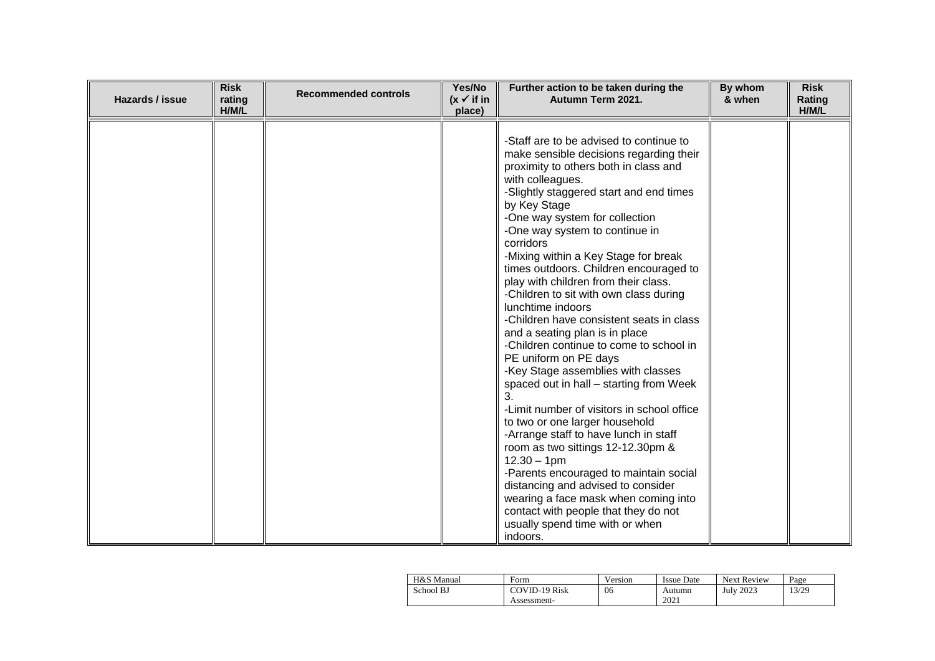| Hazards / issue | <b>Risk</b><br>rating<br>H/M/L | <b>Recommended controls</b> | Yes/No<br>$(x \vee$ if in<br>place) | Further action to be taken during the<br>Autumn Term 2021.                                                                                                                                                                                                                                                                                                                                                                                                                                                                                                                                                                                                                                                                                                                                                                                                                                                                                                                                                                                                                                                                  | By whom<br>& when | <b>Risk</b><br>Rating<br>H/M/L |
|-----------------|--------------------------------|-----------------------------|-------------------------------------|-----------------------------------------------------------------------------------------------------------------------------------------------------------------------------------------------------------------------------------------------------------------------------------------------------------------------------------------------------------------------------------------------------------------------------------------------------------------------------------------------------------------------------------------------------------------------------------------------------------------------------------------------------------------------------------------------------------------------------------------------------------------------------------------------------------------------------------------------------------------------------------------------------------------------------------------------------------------------------------------------------------------------------------------------------------------------------------------------------------------------------|-------------------|--------------------------------|
|                 |                                |                             |                                     | -Staff are to be advised to continue to<br>make sensible decisions regarding their<br>proximity to others both in class and<br>with colleagues.<br>-Slightly staggered start and end times<br>by Key Stage<br>-One way system for collection<br>-One way system to continue in<br>corridors<br>-Mixing within a Key Stage for break<br>times outdoors. Children encouraged to<br>play with children from their class.<br>-Children to sit with own class during<br>lunchtime indoors<br>-Children have consistent seats in class<br>and a seating plan is in place<br>-Children continue to come to school in<br>PE uniform on PE days<br>-Key Stage assemblies with classes<br>spaced out in hall - starting from Week<br>3.<br>-Limit number of visitors in school office<br>to two or one larger household<br>-Arrange staff to have lunch in staff<br>room as two sittings 12-12.30pm &<br>$12.30 - 1pm$<br>-Parents encouraged to maintain social<br>distancing and advised to consider<br>wearing a face mask when coming into<br>contact with people that they do not<br>usually spend time with or when<br>indoors. |                   |                                |

| H&S Manual | Form                 | Version | <b>Issue Date</b> | <b>Next Review</b> | Page  |
|------------|----------------------|---------|-------------------|--------------------|-------|
| School BJ  | <b>COVID-19 Risk</b> | 06      | Autumn            | <b>July 2023</b>   | 13/29 |
|            | Assessment-          |         | 2021              |                    |       |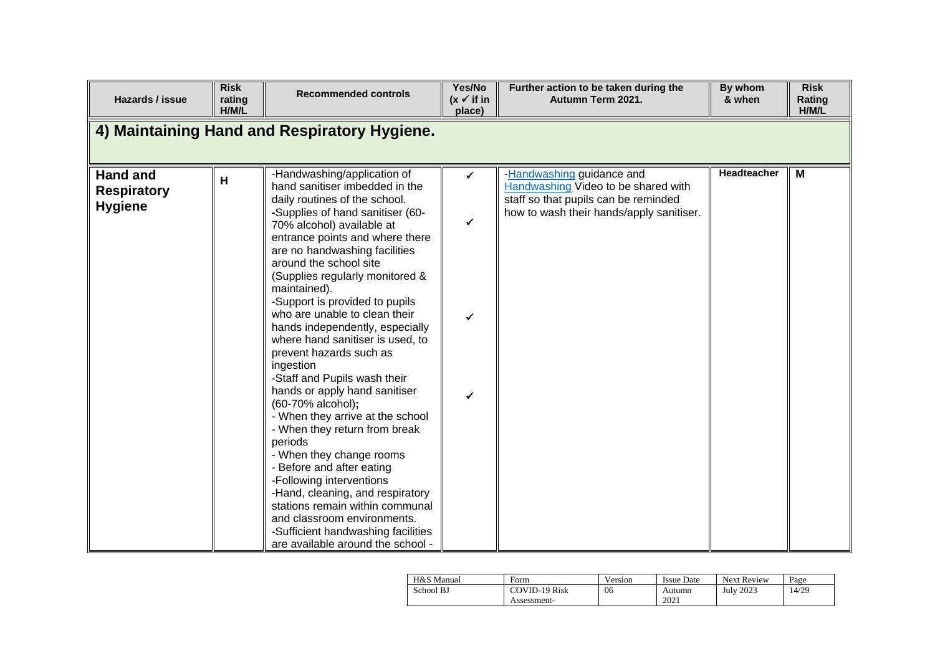| Hazards / issue                                         | <b>Risk</b><br>rating<br>H/M/L | <b>Recommended controls</b>                                                                                                                                                                                                                                                                                                                                                                                                                                                                                                                                                                                                                                                                                                                                                                                                                                                                                                                    | Yes/No<br>$(x \vee$ if in<br>place) | Further action to be taken during the<br>Autumn Term 2021.                                                                                           | By whom<br>& when | <b>Risk</b><br>Rating<br>H/M/L |
|---------------------------------------------------------|--------------------------------|------------------------------------------------------------------------------------------------------------------------------------------------------------------------------------------------------------------------------------------------------------------------------------------------------------------------------------------------------------------------------------------------------------------------------------------------------------------------------------------------------------------------------------------------------------------------------------------------------------------------------------------------------------------------------------------------------------------------------------------------------------------------------------------------------------------------------------------------------------------------------------------------------------------------------------------------|-------------------------------------|------------------------------------------------------------------------------------------------------------------------------------------------------|-------------------|--------------------------------|
|                                                         |                                | 4) Maintaining Hand and Respiratory Hygiene.                                                                                                                                                                                                                                                                                                                                                                                                                                                                                                                                                                                                                                                                                                                                                                                                                                                                                                   |                                     |                                                                                                                                                      |                   |                                |
| <b>Hand and</b><br><b>Respiratory</b><br><b>Hygiene</b> | Н                              | -Handwashing/application of<br>hand sanitiser imbedded in the<br>daily routines of the school.<br>-Supplies of hand sanitiser (60-<br>70% alcohol) available at<br>entrance points and where there<br>are no handwashing facilities<br>around the school site<br>(Supplies regularly monitored &<br>maintained).<br>-Support is provided to pupils<br>who are unable to clean their<br>hands independently, especially<br>where hand sanitiser is used, to<br>prevent hazards such as<br>ingestion<br>-Staff and Pupils wash their<br>hands or apply hand sanitiser<br>(60-70% alcohol);<br>- When they arrive at the school<br>- When they return from break<br>periods<br>- When they change rooms<br>- Before and after eating<br>-Following interventions<br>-Hand, cleaning, and respiratory<br>stations remain within communal<br>and classroom environments.<br>-Sufficient handwashing facilities<br>are available around the school - | ✓<br>✔<br>✓                         | -Handwashing guidance and<br>Handwashing Video to be shared with<br>staff so that pupils can be reminded<br>how to wash their hands/apply sanitiser. | Headteacher       | M                              |

| H&S Manual | Form                 | Version | Issue Date | <b>Next Review</b> | Page  |
|------------|----------------------|---------|------------|--------------------|-------|
| School BJ  | <b>COVID-19 Risk</b> | 06      | Autumn     | July 2023          | 14/29 |
|            | Assessment-          |         | 2021       |                    |       |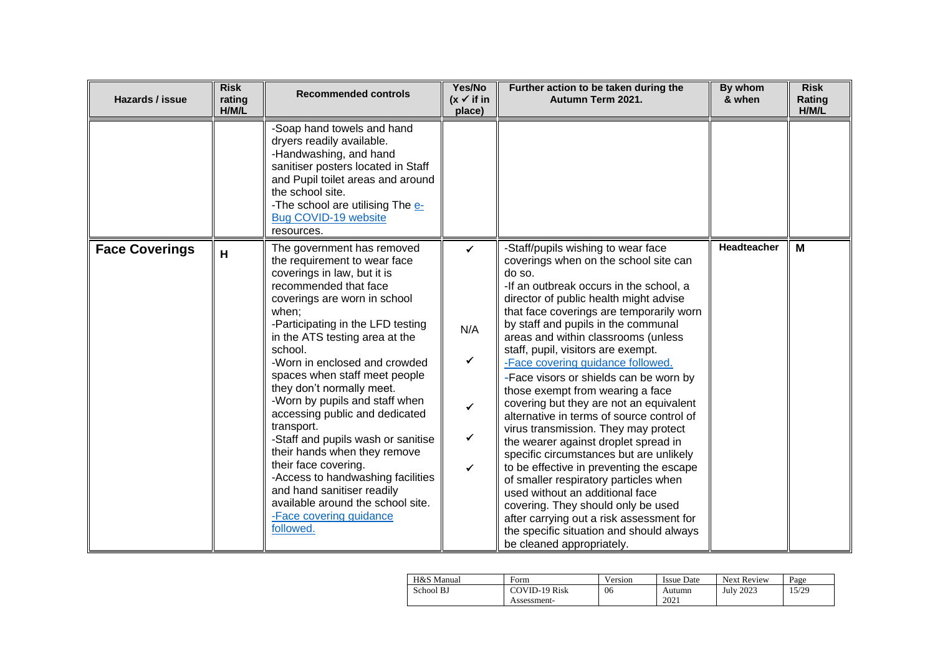| Hazards / issue       | <b>Risk</b><br>rating<br>H/M/L | <b>Recommended controls</b>                                                                                                                                                                                                                                                                                                                                                                                                                                                                                                                                                                                                                                                  | Yes/No<br>$(x \vee$ if in<br>place)                      | Further action to be taken during the<br>Autumn Term 2021.                                                                                                                                                                                                                                                                                                                                                                                                                                                                                                                                                                                                                                                                                                                                                                                                                                                                                                          | By whom<br>& when | <b>Risk</b><br>Rating<br>H/M/L |
|-----------------------|--------------------------------|------------------------------------------------------------------------------------------------------------------------------------------------------------------------------------------------------------------------------------------------------------------------------------------------------------------------------------------------------------------------------------------------------------------------------------------------------------------------------------------------------------------------------------------------------------------------------------------------------------------------------------------------------------------------------|----------------------------------------------------------|---------------------------------------------------------------------------------------------------------------------------------------------------------------------------------------------------------------------------------------------------------------------------------------------------------------------------------------------------------------------------------------------------------------------------------------------------------------------------------------------------------------------------------------------------------------------------------------------------------------------------------------------------------------------------------------------------------------------------------------------------------------------------------------------------------------------------------------------------------------------------------------------------------------------------------------------------------------------|-------------------|--------------------------------|
|                       |                                | -Soap hand towels and hand<br>dryers readily available.<br>-Handwashing, and hand<br>sanitiser posters located in Staff<br>and Pupil toilet areas and around<br>the school site.<br>-The school are utilising The e-<br>Bug COVID-19 website<br>resources.                                                                                                                                                                                                                                                                                                                                                                                                                   |                                                          |                                                                                                                                                                                                                                                                                                                                                                                                                                                                                                                                                                                                                                                                                                                                                                                                                                                                                                                                                                     |                   |                                |
| <b>Face Coverings</b> | H                              | The government has removed<br>the requirement to wear face<br>coverings in law, but it is<br>recommended that face<br>coverings are worn in school<br>when;<br>-Participating in the LFD testing<br>in the ATS testing area at the<br>school.<br>-Worn in enclosed and crowded<br>spaces when staff meet people<br>they don't normally meet.<br>-Worn by pupils and staff when<br>accessing public and dedicated<br>transport.<br>-Staff and pupils wash or sanitise<br>their hands when they remove<br>their face covering.<br>-Access to handwashing facilities<br>and hand sanitiser readily<br>available around the school site.<br>-Face covering guidance<br>followed. | N/A<br>✓<br>$\checkmark$<br>$\checkmark$<br>$\checkmark$ | -Staff/pupils wishing to wear face<br>coverings when on the school site can<br>do so.<br>-If an outbreak occurs in the school, a<br>director of public health might advise<br>that face coverings are temporarily worn<br>by staff and pupils in the communal<br>areas and within classrooms (unless<br>staff, pupil, visitors are exempt.<br>-Face covering guidance followed.<br>-Face visors or shields can be worn by<br>those exempt from wearing a face<br>covering but they are not an equivalent<br>alternative in terms of source control of<br>virus transmission. They may protect<br>the wearer against droplet spread in<br>specific circumstances but are unlikely<br>to be effective in preventing the escape<br>of smaller respiratory particles when<br>used without an additional face<br>covering. They should only be used<br>after carrying out a risk assessment for<br>the specific situation and should always<br>be cleaned appropriately. | Headteacher       | M                              |

| H&S Manual | Form          | Version | <b>Issue Date</b> | <b>Next Review</b> | Page  |
|------------|---------------|---------|-------------------|--------------------|-------|
| School BJ  | COVID-19 Risk | 06      | Autumn            | <b>July 2023</b>   | 15/29 |
|            | Assessment-   |         | 2021              |                    |       |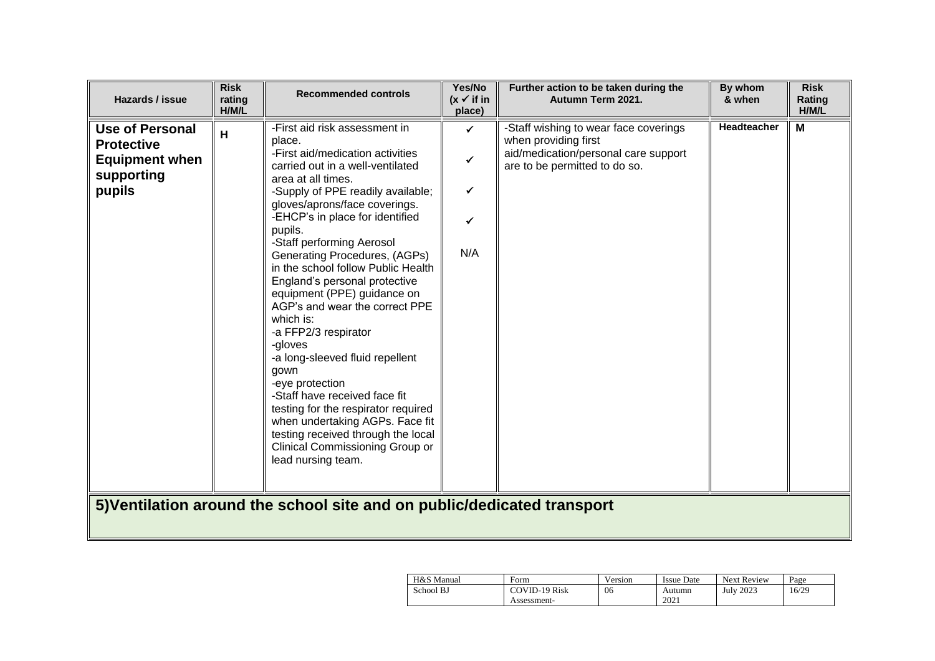| Hazards / issue                                                                       | <b>Risk</b><br>rating<br>H/M/L | <b>Recommended controls</b>                                                                                                                                                                                                                                                                                                                                                                                                                                                                                                                                                                                                                                                                                                                                                             | Yes/No<br>$(x \vee$ if in<br>place) | Further action to be taken during the<br>Autumn Term 2021.                                                                             | By whom<br>& when | <b>Risk</b><br>Rating<br>H/M/L |
|---------------------------------------------------------------------------------------|--------------------------------|-----------------------------------------------------------------------------------------------------------------------------------------------------------------------------------------------------------------------------------------------------------------------------------------------------------------------------------------------------------------------------------------------------------------------------------------------------------------------------------------------------------------------------------------------------------------------------------------------------------------------------------------------------------------------------------------------------------------------------------------------------------------------------------------|-------------------------------------|----------------------------------------------------------------------------------------------------------------------------------------|-------------------|--------------------------------|
| Use of Personal<br><b>Protective</b><br><b>Equipment when</b><br>supporting<br>pupils | H                              | -First aid risk assessment in<br>place.<br>-First aid/medication activities<br>carried out in a well-ventilated<br>area at all times.<br>-Supply of PPE readily available;<br>gloves/aprons/face coverings.<br>-EHCP's in place for identified<br>pupils.<br>-Staff performing Aerosol<br>Generating Procedures, (AGPs)<br>in the school follow Public Health<br>England's personal protective<br>equipment (PPE) guidance on<br>AGP's and wear the correct PPE<br>which is:<br>-a FFP2/3 respirator<br>-gloves<br>-a long-sleeved fluid repellent<br>gown<br>-eye protection<br>-Staff have received face fit<br>testing for the respirator required<br>when undertaking AGPs. Face fit<br>testing received through the local<br>Clinical Commissioning Group or<br>lead nursing team. | ✓<br>✓<br>$\checkmark$<br>✓<br>N/A  | -Staff wishing to wear face coverings<br>when providing first<br>aid/medication/personal care support<br>are to be permitted to do so. | Headteacher       | M                              |
|                                                                                       |                                | 5) Ventilation around the school site and on public/dedicated transport                                                                                                                                                                                                                                                                                                                                                                                                                                                                                                                                                                                                                                                                                                                 |                                     |                                                                                                                                        |                   |                                |

| H&S Manual | Form          | Version | Issue Date | <b>Next Review</b> | Page  |
|------------|---------------|---------|------------|--------------------|-------|
| School BJ  | COVID-19 Risk | 06      | Autumn     | <b>July 2023</b>   | 16/29 |
|            | Assessment-   |         | 2021       |                    |       |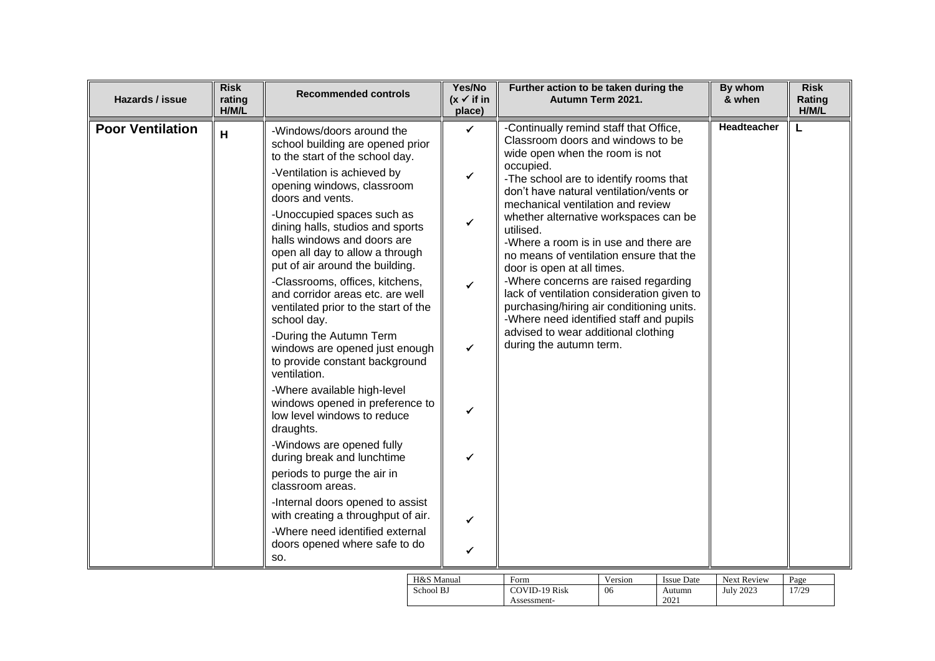| Hazards / issue         | <b>Risk</b><br>rating<br>H/M/L | <b>Recommended controls</b>                                                                                                                                                                                                                                                                                                                                                                                                                                                                                                                                                                                                                                                                                                                                                                                                                                                                                                                                                            | Yes/No<br>$(x \vee$ if in<br>place)                                        | Further action to be taken during the<br>Autumn Term 2021.                                                                                                                                                                                                                                                                                                                                                                                                                                                                                                                                                                                                                   | By whom<br>& when | <b>Risk</b><br>Rating<br>H/M/L |
|-------------------------|--------------------------------|----------------------------------------------------------------------------------------------------------------------------------------------------------------------------------------------------------------------------------------------------------------------------------------------------------------------------------------------------------------------------------------------------------------------------------------------------------------------------------------------------------------------------------------------------------------------------------------------------------------------------------------------------------------------------------------------------------------------------------------------------------------------------------------------------------------------------------------------------------------------------------------------------------------------------------------------------------------------------------------|----------------------------------------------------------------------------|------------------------------------------------------------------------------------------------------------------------------------------------------------------------------------------------------------------------------------------------------------------------------------------------------------------------------------------------------------------------------------------------------------------------------------------------------------------------------------------------------------------------------------------------------------------------------------------------------------------------------------------------------------------------------|-------------------|--------------------------------|
| <b>Poor Ventilation</b> | H                              | -Windows/doors around the<br>school building are opened prior<br>to the start of the school day.<br>-Ventilation is achieved by<br>opening windows, classroom<br>doors and vents.<br>-Unoccupied spaces such as<br>dining halls, studios and sports<br>halls windows and doors are<br>open all day to allow a through<br>put of air around the building.<br>-Classrooms, offices, kitchens,<br>and corridor areas etc. are well<br>ventilated prior to the start of the<br>school day.<br>-During the Autumn Term<br>windows are opened just enough<br>to provide constant background<br>ventilation.<br>-Where available high-level<br>windows opened in preference to<br>low level windows to reduce<br>draughts.<br>-Windows are opened fully<br>during break and lunchtime<br>periods to purge the air in<br>classroom areas.<br>-Internal doors opened to assist<br>with creating a throughput of air.<br>-Where need identified external<br>doors opened where safe to do<br>SO. | ✓<br>✓<br>$\checkmark$<br>$\checkmark$<br>$\checkmark$<br>✓<br>✓<br>✓<br>✓ | -Continually remind staff that Office,<br>Classroom doors and windows to be<br>wide open when the room is not<br>occupied.<br>-The school are to identify rooms that<br>don't have natural ventilation/vents or<br>mechanical ventilation and review<br>whether alternative workspaces can be<br>utilised.<br>-Where a room is in use and there are<br>no means of ventilation ensure that the<br>door is open at all times.<br>-Where concerns are raised regarding<br>lack of ventilation consideration given to<br>purchasing/hiring air conditioning units.<br>-Where need identified staff and pupils<br>advised to wear additional clothing<br>during the autumn term. | Headteacher       | L                              |
|                         |                                | TLOCDM                                                                                                                                                                                                                                                                                                                                                                                                                                                                                                                                                                                                                                                                                                                                                                                                                                                                                                                                                                                 |                                                                            | $\mathbf{E}$<br>$\mathbf{v}$<br>$T = 1$                                                                                                                                                                                                                                                                                                                                                                                                                                                                                                                                                                                                                                      | March Davidson    |                                |

| H&S Manual | Form                 | Version | <b>Issue Date</b> | <b>Next Review</b> | Page  |
|------------|----------------------|---------|-------------------|--------------------|-------|
| School BJ  | <b>COVID-19 Risk</b> | 06      | Autumn            | <b>July 2023</b>   | 17/29 |
|            | Assessment-          |         | 2021              |                    |       |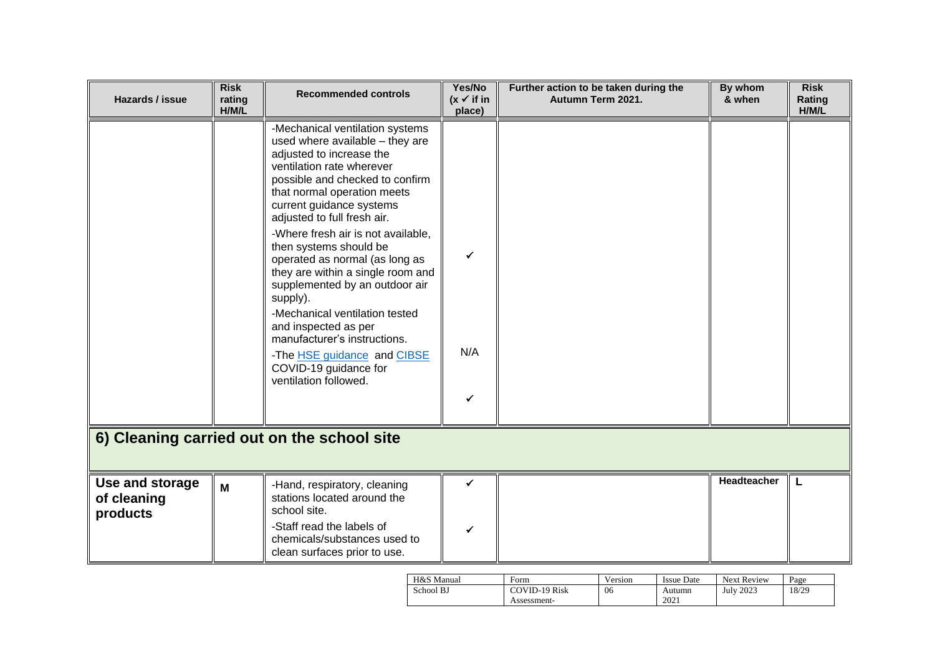| Hazards / issue                            | <b>Risk</b><br>rating<br>H/M/L | <b>Recommended controls</b>                                                                                                                                                                                                                                                                                                                                                                                                                                                                                                                                                                                              | Yes/No<br>$(x \vee$ if in<br>place) | Further action to be taken during the<br>Autumn Term 2021. | By whom<br>& when | <b>Risk</b><br>Rating<br>H/M/L |  |  |  |
|--------------------------------------------|--------------------------------|--------------------------------------------------------------------------------------------------------------------------------------------------------------------------------------------------------------------------------------------------------------------------------------------------------------------------------------------------------------------------------------------------------------------------------------------------------------------------------------------------------------------------------------------------------------------------------------------------------------------------|-------------------------------------|------------------------------------------------------------|-------------------|--------------------------------|--|--|--|
|                                            |                                | -Mechanical ventilation systems<br>used where available - they are<br>adjusted to increase the<br>ventilation rate wherever<br>possible and checked to confirm<br>that normal operation meets<br>current guidance systems<br>adjusted to full fresh air.<br>-Where fresh air is not available,<br>then systems should be<br>operated as normal (as long as<br>they are within a single room and<br>supplemented by an outdoor air<br>supply).<br>-Mechanical ventilation tested<br>and inspected as per<br>manufacturer's instructions.<br>-The HSE guidance and CIBSE<br>COVID-19 guidance for<br>ventilation followed. | $\checkmark$<br>N/A<br>✓            |                                                            |                   |                                |  |  |  |
| 6) Cleaning carried out on the school site |                                |                                                                                                                                                                                                                                                                                                                                                                                                                                                                                                                                                                                                                          |                                     |                                                            |                   |                                |  |  |  |
| Use and storage<br>of cleaning<br>products | M                              | -Hand, respiratory, cleaning<br>stations located around the<br>school site.<br>-Staff read the labels of<br>chemicals/substances used to<br>clean surfaces prior to use.                                                                                                                                                                                                                                                                                                                                                                                                                                                 | ✓<br>✓                              |                                                            | Headteacher       | L                              |  |  |  |

| H&S Manual | Form          | Version | <b>Issue Date</b> | <b>Next Review</b> | Page  |
|------------|---------------|---------|-------------------|--------------------|-------|
| School BJ  | COVID-19 Risk | 06      | Autumn            | <b>July 2023</b>   | 18/29 |
|            | Assessment-   |         | 2021              |                    |       |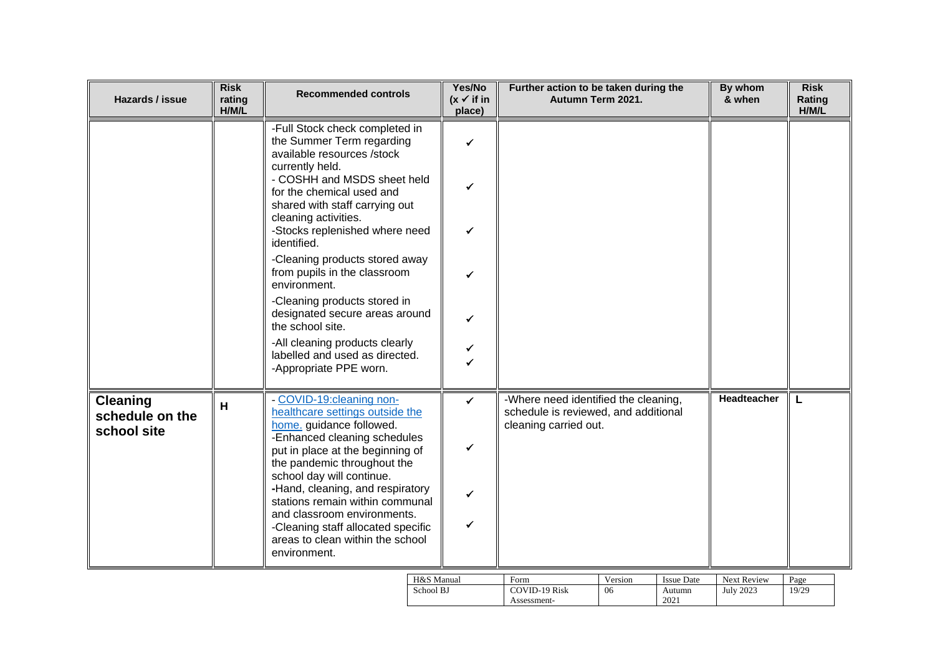| Hazards / issue                                   | <b>Risk</b><br>rating<br>H/M/L | <b>Recommended controls</b>                                                                                                                                                                                                                                                                                                                                                                                                                                                                                                                               |                         | Yes/No<br>$(x \checkmark)$ if in<br>place) | Further action to be taken during the<br>Autumn Term 2021.                                            |               |                             | By whom<br>& when               | <b>Risk</b><br>Rating<br>H/M/L |
|---------------------------------------------------|--------------------------------|-----------------------------------------------------------------------------------------------------------------------------------------------------------------------------------------------------------------------------------------------------------------------------------------------------------------------------------------------------------------------------------------------------------------------------------------------------------------------------------------------------------------------------------------------------------|-------------------------|--------------------------------------------|-------------------------------------------------------------------------------------------------------|---------------|-----------------------------|---------------------------------|--------------------------------|
|                                                   |                                | -Full Stock check completed in<br>the Summer Term regarding<br>available resources /stock<br>currently held.<br>- COSHH and MSDS sheet held<br>for the chemical used and<br>shared with staff carrying out<br>cleaning activities.<br>-Stocks replenished where need<br>identified.<br>-Cleaning products stored away<br>from pupils in the classroom<br>environment.<br>-Cleaning products stored in<br>designated secure areas around<br>the school site.<br>-All cleaning products clearly<br>labelled and used as directed.<br>-Appropriate PPE worn. |                         | ✓<br>✓<br>✓<br>✓                           |                                                                                                       |               |                             |                                 |                                |
| <b>Cleaning</b><br>schedule on the<br>school site | H                              | COVID-19:cleaning non-<br>healthcare settings outside the<br>home. guidance followed.<br>-Enhanced cleaning schedules<br>put in place at the beginning of<br>the pandemic throughout the<br>school day will continue.<br>-Hand, cleaning, and respiratory<br>stations remain within communal<br>and classroom environments.<br>-Cleaning staff allocated specific<br>areas to clean within the school<br>environment.                                                                                                                                     |                         | $\checkmark$<br>✔<br>✓<br>✓                | -Where need identified the cleaning,<br>schedule is reviewed, and additional<br>cleaning carried out. |               |                             | Headteacher                     | L                              |
|                                                   |                                |                                                                                                                                                                                                                                                                                                                                                                                                                                                                                                                                                           | H&S Manual<br>School BJ |                                            | Form<br><b>COVID-19 Risk</b>                                                                          | Version<br>06 | <b>Issue Date</b><br>Autumn | Next Review<br><b>July 2023</b> | Page<br>19/29                  |

Assessment-

2021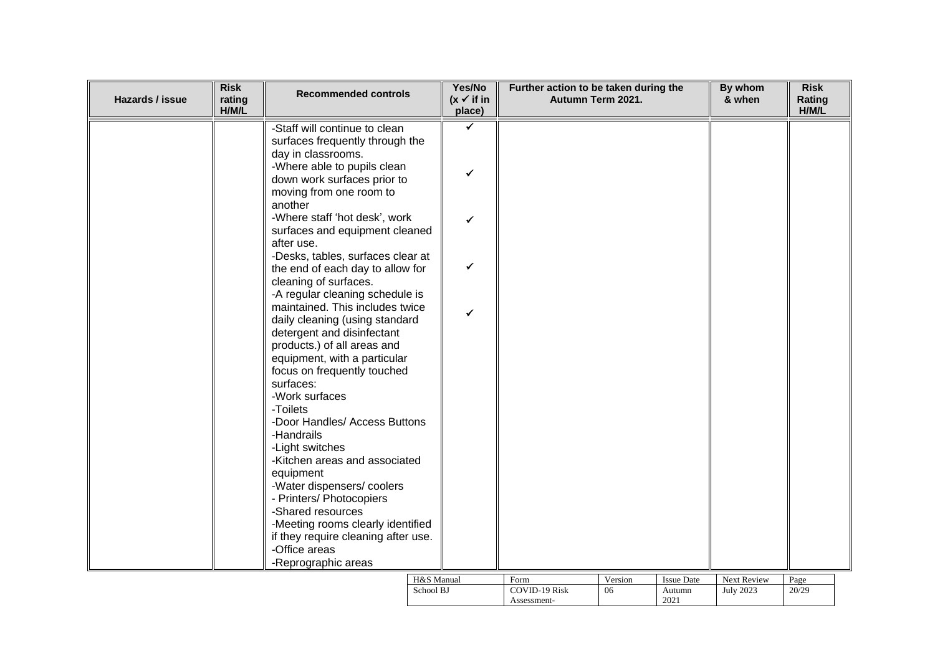| Hazards / issue | <b>Risk</b><br>rating<br>H/M/L | <b>Recommended controls</b>                                                                                                       |            | Yes/No<br>$(x \checkmark)$ if in<br>place) | Further action to be taken during the<br>Autumn Term 2021. |         |                   | By whom<br>& when | <b>Risk</b><br>Rating<br>H/M/L |
|-----------------|--------------------------------|-----------------------------------------------------------------------------------------------------------------------------------|------------|--------------------------------------------|------------------------------------------------------------|---------|-------------------|-------------------|--------------------------------|
|                 |                                | -Staff will continue to clean<br>surfaces frequently through the<br>day in classrooms.<br>-Where able to pupils clean             |            | $\checkmark$                               |                                                            |         |                   |                   |                                |
|                 |                                | down work surfaces prior to<br>moving from one room to<br>another                                                                 |            | $\checkmark$                               |                                                            |         |                   |                   |                                |
|                 |                                | -Where staff 'hot desk', work<br>surfaces and equipment cleaned<br>after use.                                                     |            | $\checkmark$                               |                                                            |         |                   |                   |                                |
|                 |                                | -Desks, tables, surfaces clear at<br>the end of each day to allow for<br>cleaning of surfaces.<br>-A regular cleaning schedule is |            | ✓                                          |                                                            |         |                   |                   |                                |
|                 |                                | maintained. This includes twice<br>daily cleaning (using standard<br>detergent and disinfectant                                   |            | $\checkmark$                               |                                                            |         |                   |                   |                                |
|                 |                                | products.) of all areas and<br>equipment, with a particular<br>focus on frequently touched<br>surfaces:                           |            |                                            |                                                            |         |                   |                   |                                |
|                 |                                | -Work surfaces<br>-Toilets<br>-Door Handles/ Access Buttons<br>-Handrails                                                         |            |                                            |                                                            |         |                   |                   |                                |
|                 |                                | -Light switches<br>-Kitchen areas and associated<br>equipment                                                                     |            |                                            |                                                            |         |                   |                   |                                |
|                 |                                | -Water dispensers/coolers<br>- Printers/ Photocopiers<br>-Shared resources                                                        |            |                                            |                                                            |         |                   |                   |                                |
|                 |                                | -Meeting rooms clearly identified<br>if they require cleaning after use.<br>-Office areas<br>-Reprographic areas                  |            |                                            |                                                            |         |                   |                   |                                |
|                 |                                |                                                                                                                                   | H&S Manual |                                            | Form                                                       | Version | <b>Issue Date</b> | Next Review       | Page                           |
|                 |                                |                                                                                                                                   | School BJ  |                                            | <b>COVID-19 Risk</b><br>Assessment-                        | 06      | Autumn<br>2021    | <b>July 2023</b>  | 20/29                          |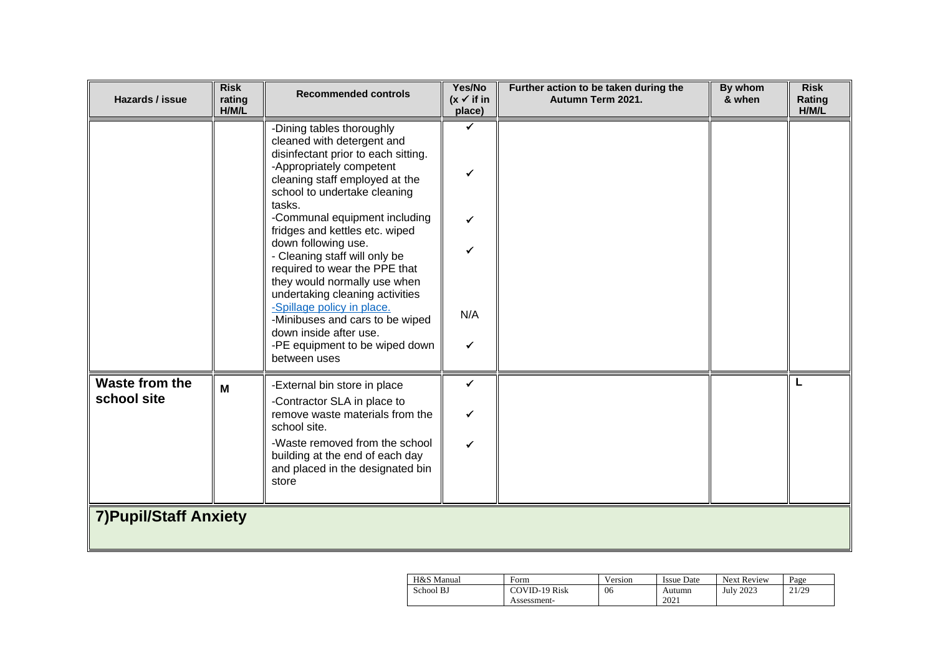| Hazards / issue                      | <b>Risk</b><br>rating<br>H/M/L | <b>Recommended controls</b>                                                                                                                                                                                                                                                                                                                                                                                                                                                                                                                                                        | Yes/No<br>$(x \checkmark)$ if in<br>place) | Further action to be taken during the<br>Autumn Term 2021. | By whom<br>& when | <b>Risk</b><br>Rating<br>H/M/L |
|--------------------------------------|--------------------------------|------------------------------------------------------------------------------------------------------------------------------------------------------------------------------------------------------------------------------------------------------------------------------------------------------------------------------------------------------------------------------------------------------------------------------------------------------------------------------------------------------------------------------------------------------------------------------------|--------------------------------------------|------------------------------------------------------------|-------------------|--------------------------------|
|                                      |                                | -Dining tables thoroughly<br>cleaned with detergent and<br>disinfectant prior to each sitting.<br>-Appropriately competent<br>cleaning staff employed at the<br>school to undertake cleaning<br>tasks.<br>-Communal equipment including<br>fridges and kettles etc. wiped<br>down following use.<br>- Cleaning staff will only be<br>required to wear the PPE that<br>they would normally use when<br>undertaking cleaning activities<br>-Spillage policy in place.<br>-Minibuses and cars to be wiped<br>down inside after use.<br>-PE equipment to be wiped down<br>between uses | ✓<br>$\checkmark$<br>N/A<br>$\checkmark$   |                                                            |                   |                                |
| <b>Waste from the</b><br>school site | M                              | -External bin store in place<br>-Contractor SLA in place to<br>remove waste materials from the<br>school site.<br>-Waste removed from the school<br>building at the end of each day<br>and placed in the designated bin<br>store                                                                                                                                                                                                                                                                                                                                                   | ✓                                          |                                                            |                   | L                              |
| <b>7) Pupil/Staff Anxiety</b>        |                                |                                                                                                                                                                                                                                                                                                                                                                                                                                                                                                                                                                                    |                                            |                                                            |                   |                                |

| H&S Manual | Form                 | Version | Issue Date | <b>Next Review</b> | Page  |
|------------|----------------------|---------|------------|--------------------|-------|
| School BJ  | <b>COVID-19 Risk</b> | 06      | Autumn     | <b>July 2023</b>   | 21/29 |
|            | Assessment-          |         | 2021       |                    |       |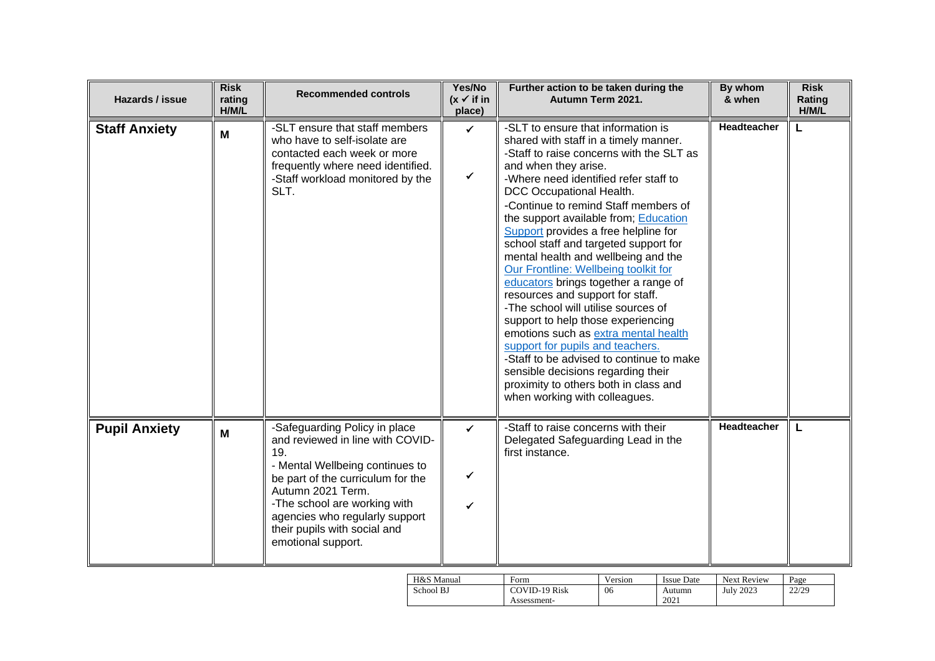| Hazards / issue      | <b>Risk</b><br>rating<br>H/M/L | <b>Recommended controls</b>                                                                                                                                                                                                                                                                   | Yes/No<br>$(x \vee$ if in<br>place) | Further action to be taken during the<br>Autumn Term 2021.                                                                                                                                                                                                                                                                                                                                                                                                                                                                                                                                                                                                                                                                                                                                                                                                             | By whom<br>& when | <b>Risk</b><br>Rating<br>H/M/L |
|----------------------|--------------------------------|-----------------------------------------------------------------------------------------------------------------------------------------------------------------------------------------------------------------------------------------------------------------------------------------------|-------------------------------------|------------------------------------------------------------------------------------------------------------------------------------------------------------------------------------------------------------------------------------------------------------------------------------------------------------------------------------------------------------------------------------------------------------------------------------------------------------------------------------------------------------------------------------------------------------------------------------------------------------------------------------------------------------------------------------------------------------------------------------------------------------------------------------------------------------------------------------------------------------------------|-------------------|--------------------------------|
| <b>Staff Anxiety</b> | M                              | -SLT ensure that staff members<br>who have to self-isolate are<br>contacted each week or more<br>frequently where need identified.<br>-Staff workload monitored by the<br>SLT.                                                                                                                | ✓<br>$\checkmark$                   | -SLT to ensure that information is<br>shared with staff in a timely manner.<br>-Staff to raise concerns with the SLT as<br>and when they arise.<br>-Where need identified refer staff to<br>DCC Occupational Health.<br>-Continue to remind Staff members of<br>the support available from; Education<br>Support provides a free helpline for<br>school staff and targeted support for<br>mental health and wellbeing and the<br>Our Frontline: Wellbeing toolkit for<br>educators brings together a range of<br>resources and support for staff.<br>-The school will utilise sources of<br>support to help those experiencing<br>emotions such as extra mental health<br>support for pupils and teachers.<br>-Staff to be advised to continue to make<br>sensible decisions regarding their<br>proximity to others both in class and<br>when working with colleagues. | Headteacher       |                                |
| <b>Pupil Anxiety</b> | M                              | -Safeguarding Policy in place<br>and reviewed in line with COVID-<br>19.<br>- Mental Wellbeing continues to<br>be part of the curriculum for the<br>Autumn 2021 Term.<br>-The school are working with<br>agencies who regularly support<br>their pupils with social and<br>emotional support. | $\checkmark$<br>✓<br>✔              | -Staff to raise concerns with their<br>Delegated Safeguarding Lead in the<br>first instance.                                                                                                                                                                                                                                                                                                                                                                                                                                                                                                                                                                                                                                                                                                                                                                           | Headteacher       |                                |

| H&S Manual | Form          | Version | <b>Issue Date</b> | <b>Next Review</b> | Page  |
|------------|---------------|---------|-------------------|--------------------|-------|
| School BJ  | COVID-19 Risk | 06      | Autumn            | <b>July 2023</b>   | 22/29 |
|            | Assessment-   |         | 2021              |                    |       |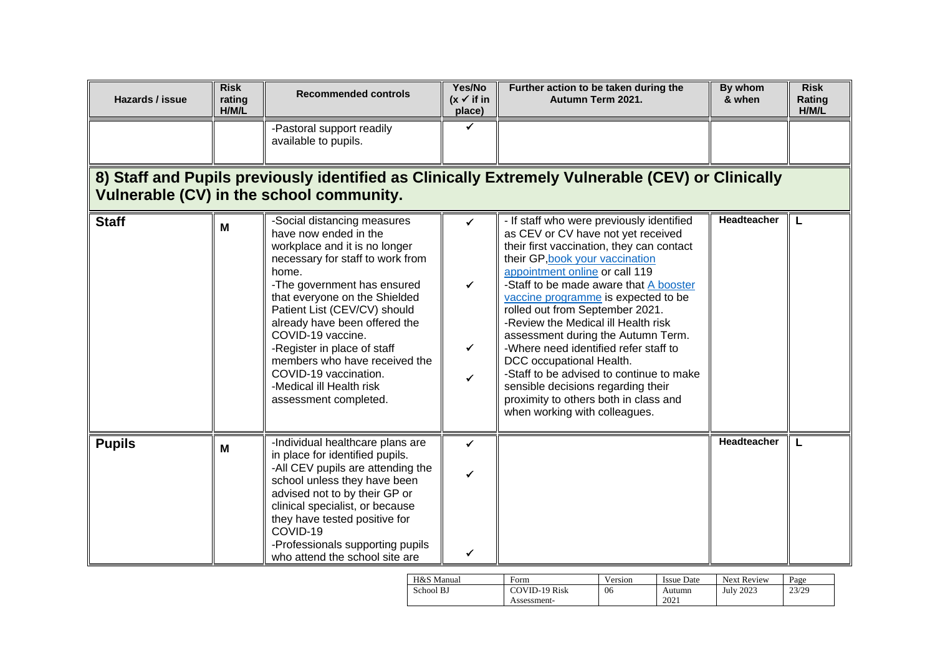| Hazards / issue                                                                                                                              | <b>Risk</b><br>rating<br>H/M/L | <b>Recommended controls</b>                                                                                                                                                                                                                                                                                                                                                                                                            | Yes/No<br>$(x \checkmark)$ if in<br>place) | Further action to be taken during the<br>Autumn Term 2021.                                                                                                                                                                                                                                                                                                                                                                                                                                                                                                                                                                          | By whom<br>& when  | <b>Risk</b><br>Rating<br>H/M/L |  |  |  |  |  |
|----------------------------------------------------------------------------------------------------------------------------------------------|--------------------------------|----------------------------------------------------------------------------------------------------------------------------------------------------------------------------------------------------------------------------------------------------------------------------------------------------------------------------------------------------------------------------------------------------------------------------------------|--------------------------------------------|-------------------------------------------------------------------------------------------------------------------------------------------------------------------------------------------------------------------------------------------------------------------------------------------------------------------------------------------------------------------------------------------------------------------------------------------------------------------------------------------------------------------------------------------------------------------------------------------------------------------------------------|--------------------|--------------------------------|--|--|--|--|--|
|                                                                                                                                              |                                | -Pastoral support readily<br>available to pupils.                                                                                                                                                                                                                                                                                                                                                                                      | ✓                                          |                                                                                                                                                                                                                                                                                                                                                                                                                                                                                                                                                                                                                                     |                    |                                |  |  |  |  |  |
| 8) Staff and Pupils previously identified as Clinically Extremely Vulnerable (CEV) or Clinically<br>Vulnerable (CV) in the school community. |                                |                                                                                                                                                                                                                                                                                                                                                                                                                                        |                                            |                                                                                                                                                                                                                                                                                                                                                                                                                                                                                                                                                                                                                                     |                    |                                |  |  |  |  |  |
| <b>Staff</b>                                                                                                                                 | M                              | -Social distancing measures<br>have now ended in the<br>workplace and it is no longer<br>necessary for staff to work from<br>home.<br>-The government has ensured<br>that everyone on the Shielded<br>Patient List (CEV/CV) should<br>already have been offered the<br>COVID-19 vaccine.<br>-Register in place of staff<br>members who have received the<br>COVID-19 vaccination.<br>-Medical ill Health risk<br>assessment completed. | $\checkmark$<br>✓<br>✓                     | - If staff who were previously identified<br>as CEV or CV have not yet received<br>their first vaccination, they can contact<br>their GP, book your vaccination<br>appointment online or call 119<br>-Staff to be made aware that A booster<br>vaccine programme is expected to be<br>rolled out from September 2021.<br>-Review the Medical ill Health risk<br>assessment during the Autumn Term.<br>-Where need identified refer staff to<br>DCC occupational Health.<br>-Staff to be advised to continue to make<br>sensible decisions regarding their<br>proximity to others both in class and<br>when working with colleagues. | Headteacher        |                                |  |  |  |  |  |
| <b>Pupils</b>                                                                                                                                | M                              | -Individual healthcare plans are<br>in place for identified pupils.<br>-All CEV pupils are attending the<br>school unless they have been<br>advised not to by their GP or<br>clinical specialist, or because<br>they have tested positive for<br>COVID-19<br>-Professionals supporting pupils<br>who attend the school site are                                                                                                        | ✓<br>✔<br>✓                                |                                                                                                                                                                                                                                                                                                                                                                                                                                                                                                                                                                                                                                     | <b>Headteacher</b> | L                              |  |  |  |  |  |

| H&S Manual | Form          | Version | <b>Issue Date</b> | <b>Next Review</b> | Page  |
|------------|---------------|---------|-------------------|--------------------|-------|
| School BJ  | COVID-19 Risk | 06      | Autumn            | July 2023          | 23/29 |
|            | Assessment-   |         | 2021              |                    |       |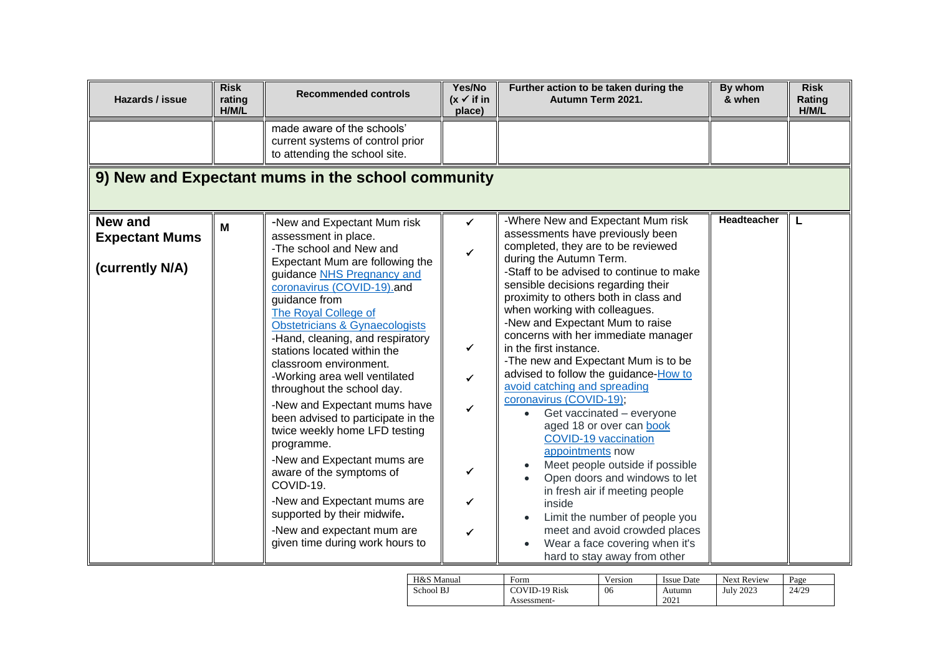| Hazards / issue                                            | <b>Risk</b><br>rating<br>H/M/L | <b>Recommended controls</b>                                                                                                                                                                                                                                                                                                                                                                                                                                                                                                                                                                                                                                                                                                                                 | Yes/No<br>$(x \vee$ if in<br>place)        | Further action to be taken during the<br>Autumn Term 2021.                                                                                                                                                                                                                                                                                                                                                                                                                                                                                                                                                                                                                                                                                                                                                                                                                                                         | By whom<br>& when  | <b>Risk</b><br>Rating<br>H/M/L |  |  |  |
|------------------------------------------------------------|--------------------------------|-------------------------------------------------------------------------------------------------------------------------------------------------------------------------------------------------------------------------------------------------------------------------------------------------------------------------------------------------------------------------------------------------------------------------------------------------------------------------------------------------------------------------------------------------------------------------------------------------------------------------------------------------------------------------------------------------------------------------------------------------------------|--------------------------------------------|--------------------------------------------------------------------------------------------------------------------------------------------------------------------------------------------------------------------------------------------------------------------------------------------------------------------------------------------------------------------------------------------------------------------------------------------------------------------------------------------------------------------------------------------------------------------------------------------------------------------------------------------------------------------------------------------------------------------------------------------------------------------------------------------------------------------------------------------------------------------------------------------------------------------|--------------------|--------------------------------|--|--|--|
|                                                            |                                | made aware of the schools'<br>current systems of control prior<br>to attending the school site.                                                                                                                                                                                                                                                                                                                                                                                                                                                                                                                                                                                                                                                             |                                            |                                                                                                                                                                                                                                                                                                                                                                                                                                                                                                                                                                                                                                                                                                                                                                                                                                                                                                                    |                    |                                |  |  |  |
| 9) New and Expectant mums in the school community          |                                |                                                                                                                                                                                                                                                                                                                                                                                                                                                                                                                                                                                                                                                                                                                                                             |                                            |                                                                                                                                                                                                                                                                                                                                                                                                                                                                                                                                                                                                                                                                                                                                                                                                                                                                                                                    |                    |                                |  |  |  |
| <b>New and</b><br><b>Expectant Mums</b><br>(currently N/A) | M                              | -New and Expectant Mum risk<br>assessment in place.<br>-The school and New and<br>Expectant Mum are following the<br>guidance NHS Pregnancy and<br>coronavirus (COVID-19).and<br>quidance from<br>The Royal College of<br><b>Obstetricians &amp; Gynaecologists</b><br>-Hand, cleaning, and respiratory<br>stations located within the<br>classroom environment.<br>-Working area well ventilated<br>throughout the school day.<br>-New and Expectant mums have<br>been advised to participate in the<br>twice weekly home LFD testing<br>programme.<br>-New and Expectant mums are<br>aware of the symptoms of<br>COVID-19.<br>-New and Expectant mums are<br>supported by their midwife.<br>-New and expectant mum are<br>given time during work hours to | ✓<br>✓<br>$\checkmark$<br>✓<br>✓<br>✓<br>✓ | -Where New and Expectant Mum risk<br>assessments have previously been<br>completed, they are to be reviewed<br>during the Autumn Term.<br>-Staff to be advised to continue to make<br>sensible decisions regarding their<br>proximity to others both in class and<br>when working with colleagues.<br>-New and Expectant Mum to raise<br>concerns with her immediate manager<br>in the first instance.<br>-The new and Expectant Mum is to be<br>advised to follow the guidance-How to<br>avoid catching and spreading<br>coronavirus (COVID-19);<br>Get vaccinated - everyone<br>aged 18 or over can book<br><b>COVID-19 vaccination</b><br>appointments now<br>Meet people outside if possible<br>Open doors and windows to let<br>in fresh air if meeting people<br>inside<br>Limit the number of people you<br>meet and avoid crowded places<br>Wear a face covering when it's<br>hard to stay away from other | <b>Headteacher</b> | L                              |  |  |  |

| H&S Manual | Form          | Version | Issue Date | <b>Next Review</b> | Page  |
|------------|---------------|---------|------------|--------------------|-------|
| School BJ  | COVID-19 Risk | 06      | Autumn     | <b>July 2023</b>   | 24/29 |
|            | Assessment-   |         | 2021       |                    |       |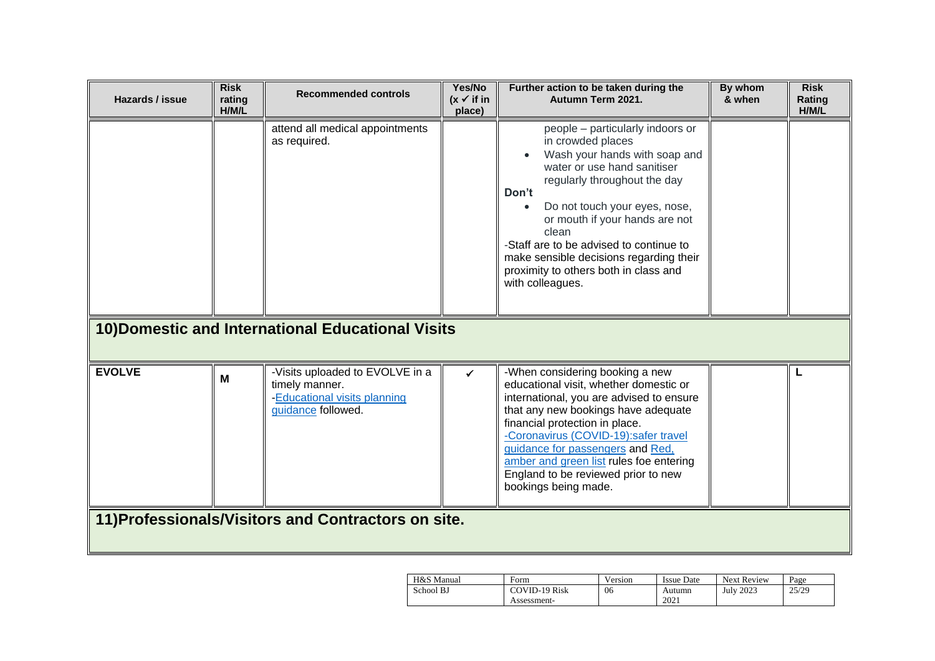| Hazards / issue | <b>Risk</b><br>rating<br>H/M/L | <b>Recommended controls</b>                                                                             | Yes/No<br>$(x \vee$ if in<br>place) | Further action to be taken during the<br>Autumn Term 2021.                                                                                                                                                                                                                                                                                                                                    | By whom<br>& when | <b>Risk</b><br>Rating<br>H/M/L |
|-----------------|--------------------------------|---------------------------------------------------------------------------------------------------------|-------------------------------------|-----------------------------------------------------------------------------------------------------------------------------------------------------------------------------------------------------------------------------------------------------------------------------------------------------------------------------------------------------------------------------------------------|-------------------|--------------------------------|
|                 |                                | attend all medical appointments<br>as required.                                                         |                                     | people - particularly indoors or<br>in crowded places<br>Wash your hands with soap and<br>water or use hand sanitiser<br>regularly throughout the day<br>Don't<br>Do not touch your eyes, nose,<br>or mouth if your hands are not<br>clean<br>-Staff are to be advised to continue to<br>make sensible decisions regarding their<br>proximity to others both in class and<br>with colleagues. |                   |                                |
|                 |                                | 10) Domestic and International Educational Visits                                                       |                                     |                                                                                                                                                                                                                                                                                                                                                                                               |                   |                                |
| <b>EVOLVE</b>   | M                              | -Visits uploaded to EVOLVE in a<br>timely manner.<br>-Educational visits planning<br>guidance followed. | ✓                                   | -When considering booking a new<br>educational visit, whether domestic or<br>international, you are advised to ensure<br>that any new bookings have adequate<br>financial protection in place.<br>-Coronavirus (COVID-19):safer travel<br>guidance for passengers and Red,<br>amber and green list rules foe entering<br>England to be reviewed prior to new<br>bookings being made.          |                   | L                              |
|                 |                                | 11) Professionals/Visitors and Contractors on site.                                                     |                                     |                                                                                                                                                                                                                                                                                                                                                                                               |                   |                                |

| H&S Manual | Form                 | Version | <b>Issue Date</b> | <b>Next Review</b> | Page  |
|------------|----------------------|---------|-------------------|--------------------|-------|
| School BJ  | <b>COVID-19 Risk</b> | 06      | Autumn            | <b>July 2023</b>   | 25/29 |
|            | Assessment-          |         | 2021              |                    |       |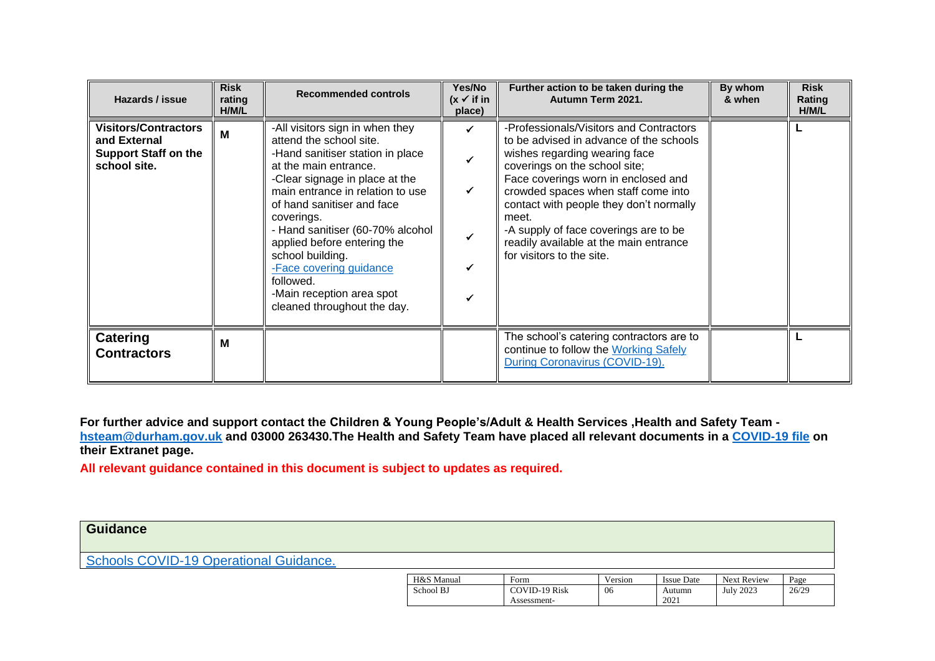| Hazards / issue                                                                            | <b>Risk</b><br>rating<br>H/M/L | <b>Recommended controls</b>                                                                                                                                                                                                                                                                                                                                                                                                          | Yes/No<br>$(x \vee$ if in<br>place) | Further action to be taken during the<br>Autumn Term 2021.                                                                                                                                                                                                                                                                                                                                             | By whom<br>& when | <b>Risk</b><br>Rating<br>H/M/L |
|--------------------------------------------------------------------------------------------|--------------------------------|--------------------------------------------------------------------------------------------------------------------------------------------------------------------------------------------------------------------------------------------------------------------------------------------------------------------------------------------------------------------------------------------------------------------------------------|-------------------------------------|--------------------------------------------------------------------------------------------------------------------------------------------------------------------------------------------------------------------------------------------------------------------------------------------------------------------------------------------------------------------------------------------------------|-------------------|--------------------------------|
| <b>Visitors/Contractors</b><br>and External<br><b>Support Staff on the</b><br>school site. | М                              | -All visitors sign in when they<br>attend the school site.<br>-Hand sanitiser station in place<br>at the main entrance.<br>-Clear signage in place at the<br>main entrance in relation to use<br>of hand sanitiser and face<br>coverings.<br>- Hand sanitiser (60-70% alcohol<br>applied before entering the<br>school building.<br>-Face covering guidance<br>followed.<br>-Main reception area spot<br>cleaned throughout the day. | $\checkmark$<br>$\checkmark$        | -Professionals/Visitors and Contractors<br>to be advised in advance of the schools<br>wishes regarding wearing face<br>coverings on the school site;<br>Face coverings worn in enclosed and<br>crowded spaces when staff come into<br>contact with people they don't normally<br>meet.<br>-A supply of face coverings are to be<br>readily available at the main entrance<br>for visitors to the site. |                   |                                |
| <b>Catering</b><br><b>Contractors</b>                                                      | М                              |                                                                                                                                                                                                                                                                                                                                                                                                                                      |                                     | The school's catering contractors are to<br>continue to follow the Working Safely<br>During Coronavirus (COVID-19).                                                                                                                                                                                                                                                                                    |                   |                                |

**For further advice and support contact the Children & Young People's/Adult & Health Services ,Health and Safety Team [hsteam@durham.gov.uk](mailto:hsteam@durham.gov.uk) and 03000 263430.The Health and Safety Team have placed all relevant documents in a [COVID-19 file](https://gateway.durhamschools.org.uk/premises/healthsafety/Lists/Covid19/Document.aspx?ID=1&Source=https://gateway.durhamschools.org.uk/premises/healthsafety%2FLists/Covid19) on their Extranet page.**

**All relevant guidance contained in this document is subject to updates as required.**

| <b>Guidance</b>                               |  |
|-----------------------------------------------|--|
| <b>Schools COVID-19 Operational Guidance.</b> |  |
|                                               |  |

| H&S Manual | Form          | Version | <b>Issue Date</b> | <b>Next Review</b> | Page  |
|------------|---------------|---------|-------------------|--------------------|-------|
| School BJ  | COVID-19 Risk | 06      | Autumn            | <b>July 2023</b>   | 26/29 |
|            | Assessment-   |         | 2021              |                    |       |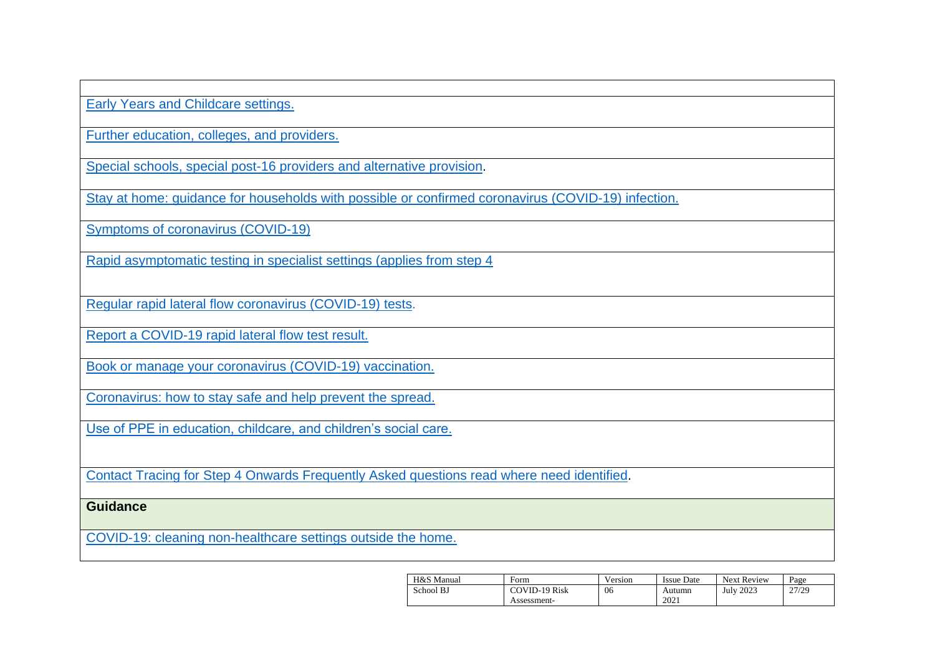[Early Years and Childcare settings.](https://www.gov.uk/government/publications/coronavirus-covid-19-early-years-and-childcare-closures/actions-for-early-years-and-childcare-providers-during-the-covid-19-pandemic)

[Further education, colleges, and providers.](https://www.gov.uk/government/publications/coronavirus-covid-19-maintaining-further-education-provision/further-education-covid-19-operational-guidance)

[Special schools, special post-16 providers and alternative provision.](https://www.gov.uk/government/publications/guidance-for-full-opening-special-schools-and-other-specialist-settings/rapid-asymptomatic-testing-in-specialist-settings-applies-from-step-4)

[Stay at home: guidance for households with possible or confirmed coronavirus \(COVID-19\) infection.](https://www.gov.uk/government/publications/covid-19-stay-at-home-guidance/stay-at-home-guidance-for-households-with-possible-coronavirus-covid-19-infection)

[Symptoms of coronavirus \(COVID-19\)](https://www.nhs.uk/conditions/coronavirus-covid-19/symptoms/)

[Rapid asymptomatic testing in specialist settings \(applies from step 4](https://www.gov.uk/government/publications/guidance-for-full-opening-special-schools-and-other-specialist-settings/rapid-asymptomatic-testing-in-specialist-settings-applies-from-step-4)

[Regular rapid lateral flow coronavirus \(COVID-19\) tests.](https://www.nhs.uk/conditions/coronavirus-covid-19/testing/regular-rapid-coronavirus-tests-if-you-do-not-have-symptoms/)

Report [a COVID-19 rapid lateral flow test result.](https://www.gov.uk/report-covid19-result)

[Book or manage your coronavirus \(COVID-19\) vaccination.](https://www.nhs.uk/conditions/coronavirus-covid-19/coronavirus-vaccination/book-coronavirus-vaccination/)

Coronavirus: how [to stay safe and help prevent the spread.](https://www.gov.uk/guidance/covid-19-coronavirus-restrictions-what-you-can-and-cannot-do)

[Use of PPE in education, childcare, and children's social care.](https://www.gov.uk/government/publications/safe-working-in-education-childcare-and-childrens-social-care/the-use-of-personal-protective-equipment-ppe-in-education-childcare-and-childrens-social-care-settings-including-for-aerosol-generating-procedure)

[Contact Tracing for Step 4 Onwards Frequently Asked questions read where need identified.](https://drive.google.com/drive/folders/1X5SgRwxSIBJNnAGnT8rroKeX8rVpXEJI?form=MY01SV&OCID=MY01SV)

## **Guidance**

[COVID-19: cleaning non-healthcare settings outside the home.](https://www.gov.uk/government/publications/covid-19-decontamination-in-non-healthcare-settings/covid-19-decontamination-in-non-healthcare-settings)

| H&S Manual | Form          | Version | <b>Issue Date</b> | <b>Next Review</b> | Page  |
|------------|---------------|---------|-------------------|--------------------|-------|
| School BJ  | COVID-19 Risk | 06      | Autumn            | <b>July 2023</b>   | 27/29 |
|            | Assessment-   |         | 2021              |                    |       |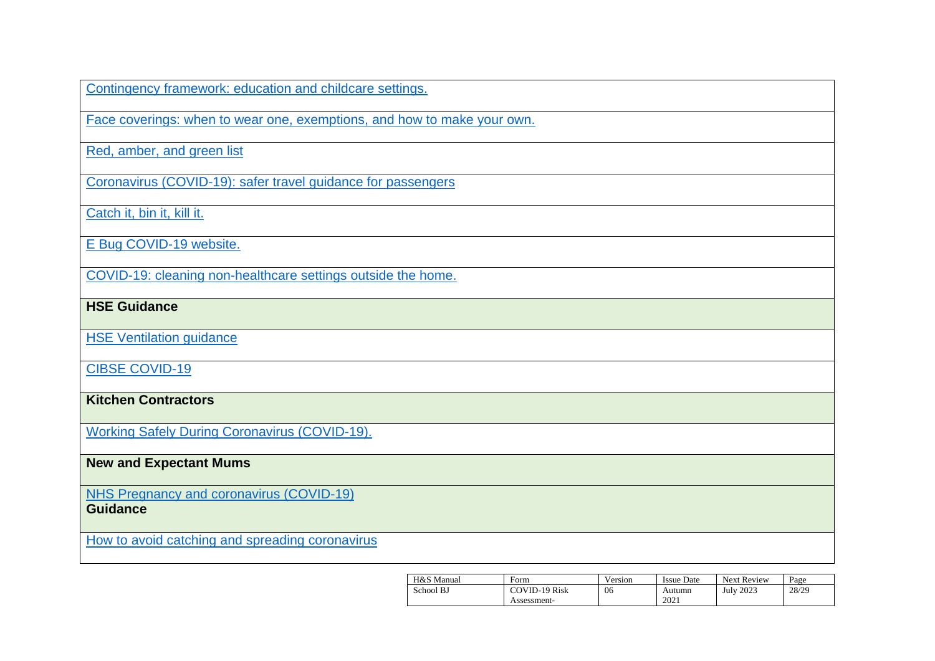[Contingency framework: education and childcare settings.](https://www.gov.uk/government/publications/coronavirus-covid-19-local-restrictions-in-education-and-childcare-settings/contingency-framework-education-and-childcare-settings)

[Face coverings: when to wear one, exemptions, and how to make your own.](https://www.gov.uk/government/publications/face-coverings-when-to-wear-one-and-how-to-make-your-own/face-coverings-when-to-wear-one-and-how-to-make-your-own)

[Red, amber, and green list](https://www.gov.uk/guidance/red-amber-and-green-list-rules-for-entering-england)

[Coronavirus \(COVID-19\): safer travel guidance for passengers](https://www.gov.uk/guidance/coronavirus-covid-19-safer-travel-guidance-for-passengers#checklists-for-safer-travel)

[Catch it, bin it, kill it.](https://www.infectionpreventioncontrol.co.uk/resources/catch-it-bin-it-kill-it-poster/)

E [Bug COVID-19 website.](https://e-bug.eu/eng_home.aspx?cc=eng&ss=1&t=Information%20about%20the%20Coronavirus)

COVID-19: cleaning [non-healthcare settings outside the home.](https://www.gov.uk/government/publications/covid-19-decontamination-in-non-healthcare-settings/covid-19-decontamination-in-non-healthcare-settings)

**HSE Guidance**

[HSE Ventilation guidance](https://www.hse.gov.uk/coronavirus/equipment-and-machinery/air-conditioning-and-ventilation/index.htm)

[CIBSE COVID-19](https://www.cibse.org/coronavirus-covid-19/emerging-from-lockdown)

**Kitchen Contractors**

[Working Safely During Coronavirus \(COVID-19\).](https://www.gov.uk/guidance/working-safely-during-covid-19/restaurants-pubs-bars-nightclubs-and-takeaway-services)

## **New and Expectant Mums**

[NHS Pregnancy and coronavirus \(COVID-19\)](https://www.nhs.uk/conditions/coronavirus-covid-19/people-at-higher-risk/pregnancy-and-coronavirus/)

**Guidance**

[How to avoid catching and spreading coronavirus](https://www.nhs.uk/conditions/coronavirus-covid-19/how-to-avoid-catching-and-spreading-coronavirus-covid-19/)

| H&S Manual | Form                 | Version | <b>Issue Date</b> | <b>Next Review</b> | Page  |
|------------|----------------------|---------|-------------------|--------------------|-------|
| School BJ  | <b>COVID-19 Risk</b> | 06      | Autumn            | <b>July 2023</b>   | 28/29 |
|            | Assessment-          |         | 2021              |                    |       |